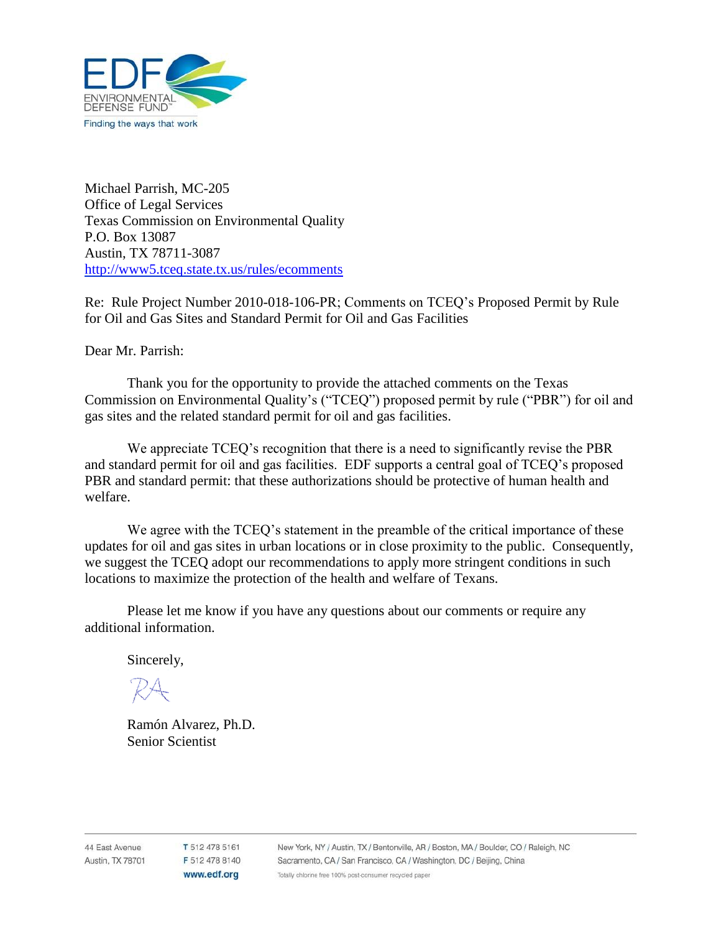

Michael Parrish, MC-205 Office of Legal Services Texas Commission on Environmental Quality P.O. Box 13087 Austin, TX 78711-3087 <http://www5.tceq.state.tx.us/rules/ecomments>

Re: Rule Project Number 2010-018-106-PR; Comments on TCEQ's Proposed Permit by Rule for Oil and Gas Sites and Standard Permit for Oil and Gas Facilities

Dear Mr. Parrish:

Thank you for the opportunity to provide the attached comments on the Texas Commission on Environmental Quality's ("TCEQ") proposed permit by rule ("PBR") for oil and gas sites and the related standard permit for oil and gas facilities.

We appreciate TCEQ's recognition that there is a need to significantly revise the PBR and standard permit for oil and gas facilities. EDF supports a central goal of TCEQ's proposed PBR and standard permit: that these authorizations should be protective of human health and welfare.

We agree with the TCEQ's statement in the preamble of the critical importance of these updates for oil and gas sites in urban locations or in close proximity to the public. Consequently, we suggest the TCEQ adopt our recommendations to apply more stringent conditions in such locations to maximize the protection of the health and welfare of Texans.

Please let me know if you have any questions about our comments or require any additional information.

Sincerely,

Ramón Alvarez, Ph.D. Senior Scientist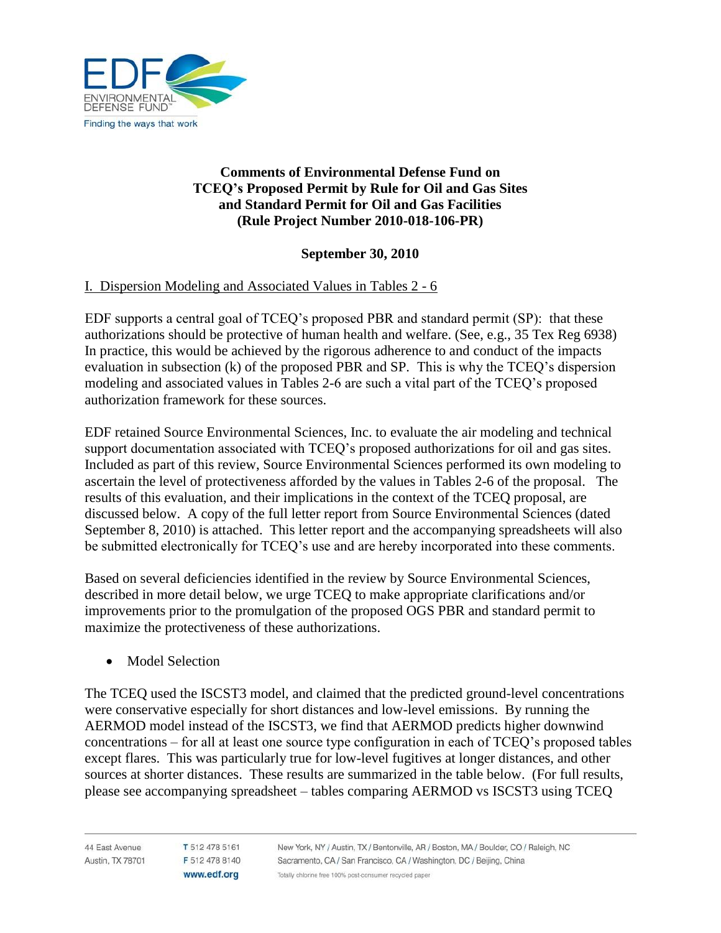

# **Comments of Environmental Defense Fund on TCEQ's Proposed Permit by Rule for Oil and Gas Sites and Standard Permit for Oil and Gas Facilities (Rule Project Number 2010-018-106-PR)**

## **September 30, 2010**

### I. Dispersion Modeling and Associated Values in Tables 2 - 6

EDF supports a central goal of TCEQ's proposed PBR and standard permit (SP): that these authorizations should be protective of human health and welfare. (See, e.g., 35 Tex Reg 6938) In practice, this would be achieved by the rigorous adherence to and conduct of the impacts evaluation in subsection (k) of the proposed PBR and SP. This is why the TCEQ's dispersion modeling and associated values in Tables 2-6 are such a vital part of the TCEQ's proposed authorization framework for these sources.

EDF retained Source Environmental Sciences, Inc. to evaluate the air modeling and technical support documentation associated with TCEQ's proposed authorizations for oil and gas sites. Included as part of this review, Source Environmental Sciences performed its own modeling to ascertain the level of protectiveness afforded by the values in Tables 2-6 of the proposal. The results of this evaluation, and their implications in the context of the TCEQ proposal, are discussed below. A copy of the full letter report from Source Environmental Sciences (dated September 8, 2010) is attached. This letter report and the accompanying spreadsheets will also be submitted electronically for TCEQ's use and are hereby incorporated into these comments.

Based on several deficiencies identified in the review by Source Environmental Sciences, described in more detail below, we urge TCEQ to make appropriate clarifications and/or improvements prior to the promulgation of the proposed OGS PBR and standard permit to maximize the protectiveness of these authorizations.

• Model Selection

The TCEQ used the ISCST3 model, and claimed that the predicted ground-level concentrations were conservative especially for short distances and low-level emissions. By running the AERMOD model instead of the ISCST3, we find that AERMOD predicts higher downwind concentrations – for all at least one source type configuration in each of TCEQ's proposed tables except flares. This was particularly true for low-level fugitives at longer distances, and other sources at shorter distances. These results are summarized in the table below. (For full results, please see accompanying spreadsheet – tables comparing AERMOD vs ISCST3 using TCEQ

T 512 478 5161 F 512 478 8140 www.edf.org

New York, NY / Austin, TX / Bentonville, AR / Boston, MA / Boulder, CO / Raleigh, NC Sacramento, CA / San Francisco, CA / Washington, DC / Beijing, China Totally chlorine free 100% post-consumer recycled paper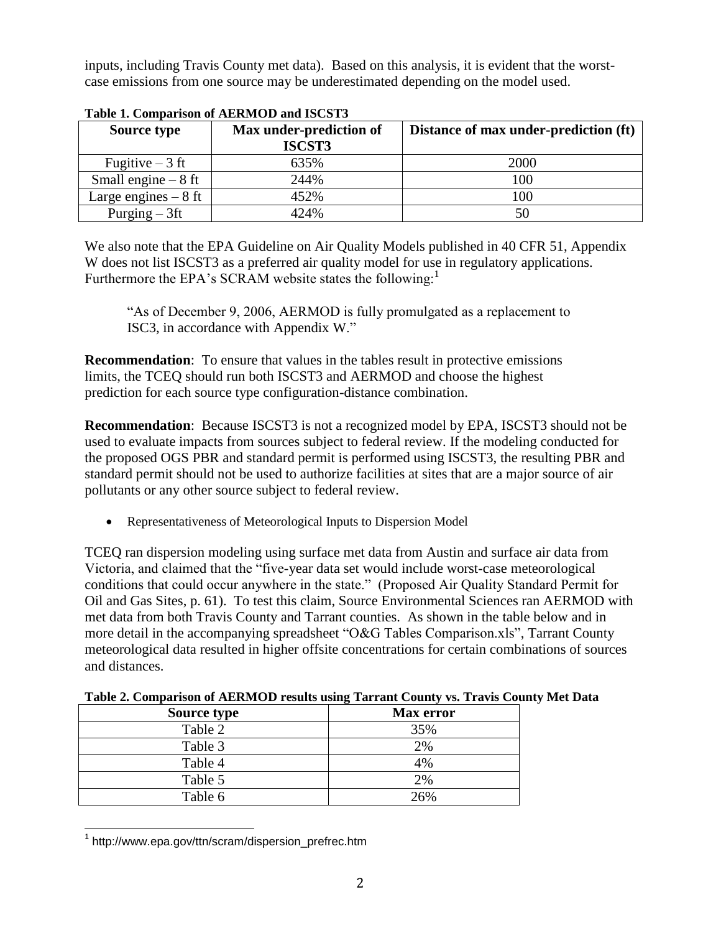inputs, including Travis County met data). Based on this analysis, it is evident that the worstcase emissions from one source may be underestimated depending on the model used.

| Table 1: Comparison of ALIANTOD and ISCSTS |                                   |                                       |  |  |  |
|--------------------------------------------|-----------------------------------|---------------------------------------|--|--|--|
| <b>Source type</b>                         | Max under-prediction of<br>ISCST3 | Distance of max under-prediction (ft) |  |  |  |
| Fugitive $-3$ ft                           | 635%                              | 2000                                  |  |  |  |
| Small engine $-8$ ft                       | 244%                              | 100                                   |  |  |  |
| Large engines $-8$ ft                      | 452%                              | 100                                   |  |  |  |
| Purging $-3$ ft                            | 424%                              |                                       |  |  |  |

**Table 1. Comparison of AERMOD and ISCST3**

We also note that the EPA Guideline on Air Quality Models published in 40 CFR 51, Appendix W does not list ISCST3 as a preferred air quality model for use in regulatory applications. Furthermore the EPA's SCRAM website states the following:<sup>1</sup>

"As of December 9, 2006, AERMOD is fully promulgated as a replacement to ISC3, in accordance with Appendix W."

**Recommendation**: To ensure that values in the tables result in protective emissions limits, the TCEQ should run both ISCST3 and AERMOD and choose the highest prediction for each source type configuration-distance combination.

**Recommendation**: Because ISCST3 is not a recognized model by EPA, ISCST3 should not be used to evaluate impacts from sources subject to federal review. If the modeling conducted for the proposed OGS PBR and standard permit is performed using ISCST3, the resulting PBR and standard permit should not be used to authorize facilities at sites that are a major source of air pollutants or any other source subject to federal review.

Representativeness of Meteorological Inputs to Dispersion Model

TCEQ ran dispersion modeling using surface met data from Austin and surface air data from Victoria, and claimed that the "five-year data set would include worst-case meteorological conditions that could occur anywhere in the state." (Proposed Air Quality Standard Permit for Oil and Gas Sites, p. 61). To test this claim, Source Environmental Sciences ran AERMOD with met data from both Travis County and Tarrant counties. As shown in the table below and in more detail in the accompanying spreadsheet "O&G Tables Comparison.xls", Tarrant County meteorological data resulted in higher offsite concentrations for certain combinations of sources and distances.

| <b>Source type</b> | <b>Max</b> error |
|--------------------|------------------|
| Table 2            | 35%              |
| Table 3            | 2%               |
| Table 4            | 4%               |
| Table 5            | 2%               |

Table 6  $26\%$ 

**Table 2. Comparison of AERMOD results using Tarrant County vs. Travis County Met Data**

 1 http://www.epa.gov/ttn/scram/dispersion\_prefrec.htm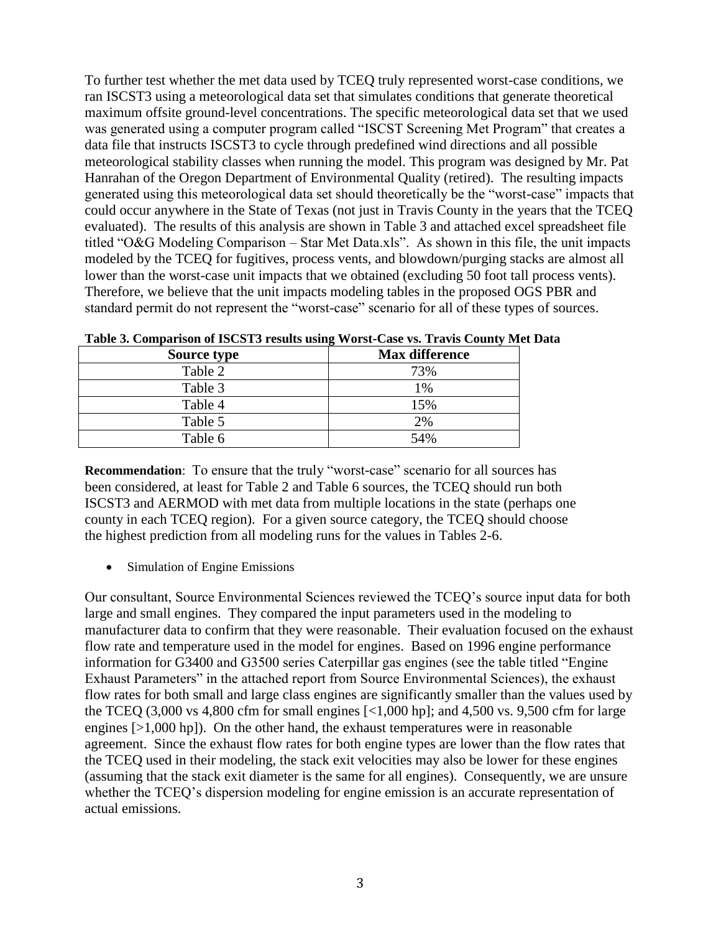To further test whether the met data used by TCEQ truly represented worst-case conditions, we ran ISCST3 using a meteorological data set that simulates conditions that generate theoretical maximum offsite ground-level concentrations. The specific meteorological data set that we used was generated using a computer program called "ISCST Screening Met Program" that creates a data file that instructs ISCST3 to cycle through predefined wind directions and all possible meteorological stability classes when running the model. This program was designed by Mr. Pat Hanrahan of the Oregon Department of Environmental Quality (retired). The resulting impacts generated using this meteorological data set should theoretically be the "worst-case" impacts that could occur anywhere in the State of Texas (not just in Travis County in the years that the TCEQ evaluated). The results of this analysis are shown in Table 3 and attached excel spreadsheet file titled "O&G Modeling Comparison – Star Met Data.xls". As shown in this file, the unit impacts modeled by the TCEQ for fugitives, process vents, and blowdown/purging stacks are almost all lower than the worst-case unit impacts that we obtained (excluding 50 foot tall process vents). Therefore, we believe that the unit impacts modeling tables in the proposed OGS PBR and standard permit do not represent the "worst-case" scenario for all of these types of sources.

| Source type | <b>Max difference</b> |
|-------------|-----------------------|
| Table 2     | 73%                   |
| Table 3     | 1%                    |
| Table 4     | 15%                   |
| Table 5     | 2%                    |
| Table 6     | 54%                   |

**Table 3. Comparison of ISCST3 results using Worst-Case vs. Travis County Met Data**

**Recommendation**: To ensure that the truly "worst-case" scenario for all sources has been considered, at least for Table 2 and Table 6 sources, the TCEQ should run both ISCST3 and AERMOD with met data from multiple locations in the state (perhaps one county in each TCEQ region). For a given source category, the TCEQ should choose the highest prediction from all modeling runs for the values in Tables 2-6.

• Simulation of Engine Emissions

Our consultant, Source Environmental Sciences reviewed the TCEQ's source input data for both large and small engines. They compared the input parameters used in the modeling to manufacturer data to confirm that they were reasonable. Their evaluation focused on the exhaust flow rate and temperature used in the model for engines. Based on 1996 engine performance information for G3400 and G3500 series Caterpillar gas engines (see the table titled "Engine" Exhaust Parameters" in the attached report from Source Environmental Sciences), the exhaust flow rates for both small and large class engines are significantly smaller than the values used by the TCEQ  $(3,000 \text{ vs } 4,800 \text{ cfm for small engines } [-1,000 \text{ hp}]$ ; and  $4,500 \text{ vs. } 9,500 \text{ cfm for large}$ engines [>1,000 hp]). On the other hand, the exhaust temperatures were in reasonable agreement. Since the exhaust flow rates for both engine types are lower than the flow rates that the TCEQ used in their modeling, the stack exit velocities may also be lower for these engines (assuming that the stack exit diameter is the same for all engines). Consequently, we are unsure whether the TCEQ's dispersion modeling for engine emission is an accurate representation of actual emissions.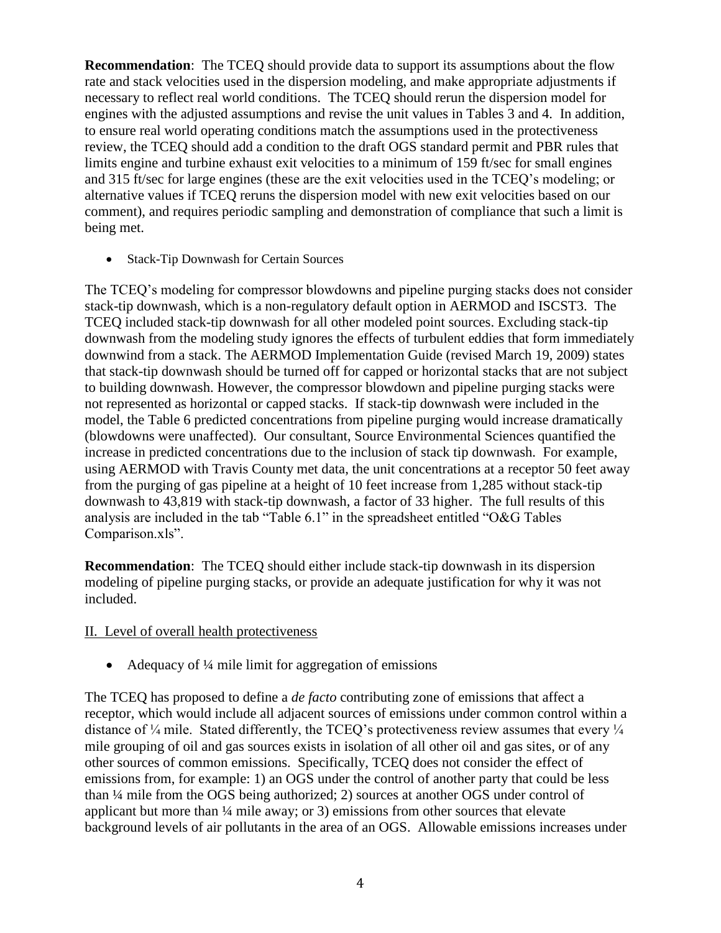**Recommendation**: The TCEQ should provide data to support its assumptions about the flow rate and stack velocities used in the dispersion modeling, and make appropriate adjustments if necessary to reflect real world conditions. The TCEQ should rerun the dispersion model for engines with the adjusted assumptions and revise the unit values in Tables 3 and 4. In addition, to ensure real world operating conditions match the assumptions used in the protectiveness review, the TCEQ should add a condition to the draft OGS standard permit and PBR rules that limits engine and turbine exhaust exit velocities to a minimum of 159 ft/sec for small engines and 315 ft/sec for large engines (these are the exit velocities used in the TCEQ's modeling; or alternative values if TCEQ reruns the dispersion model with new exit velocities based on our comment), and requires periodic sampling and demonstration of compliance that such a limit is being met.

Stack-Tip Downwash for Certain Sources

The TCEQ's modeling for compressor blowdowns and pipeline purging stacks does not consider stack-tip downwash, which is a non-regulatory default option in AERMOD and ISCST3. The TCEQ included stack-tip downwash for all other modeled point sources. Excluding stack-tip downwash from the modeling study ignores the effects of turbulent eddies that form immediately downwind from a stack. The AERMOD Implementation Guide (revised March 19, 2009) states that stack-tip downwash should be turned off for capped or horizontal stacks that are not subject to building downwash. However, the compressor blowdown and pipeline purging stacks were not represented as horizontal or capped stacks. If stack-tip downwash were included in the model, the Table 6 predicted concentrations from pipeline purging would increase dramatically (blowdowns were unaffected). Our consultant, Source Environmental Sciences quantified the increase in predicted concentrations due to the inclusion of stack tip downwash. For example, using AERMOD with Travis County met data, the unit concentrations at a receptor 50 feet away from the purging of gas pipeline at a height of 10 feet increase from 1,285 without stack-tip downwash to 43,819 with stack-tip downwash, a factor of 33 higher. The full results of this analysis are included in the tab "Table 6.1" in the spreadsheet entitled "O&G Tables Comparison.xls".

**Recommendation**: The TCEQ should either include stack-tip downwash in its dispersion modeling of pipeline purging stacks, or provide an adequate justification for why it was not included.

## II. Level of overall health protectiveness

• Adequacy of  $\frac{1}{4}$  mile limit for aggregation of emissions

The TCEQ has proposed to define a *de facto* contributing zone of emissions that affect a receptor, which would include all adjacent sources of emissions under common control within a distance of  $\frac{1}{4}$  mile. Stated differently, the TCEQ's protectiveness review assumes that every  $\frac{1}{4}$ mile grouping of oil and gas sources exists in isolation of all other oil and gas sites, or of any other sources of common emissions. Specifically, TCEQ does not consider the effect of emissions from, for example: 1) an OGS under the control of another party that could be less than ¼ mile from the OGS being authorized; 2) sources at another OGS under control of applicant but more than ¼ mile away; or 3) emissions from other sources that elevate background levels of air pollutants in the area of an OGS. Allowable emissions increases under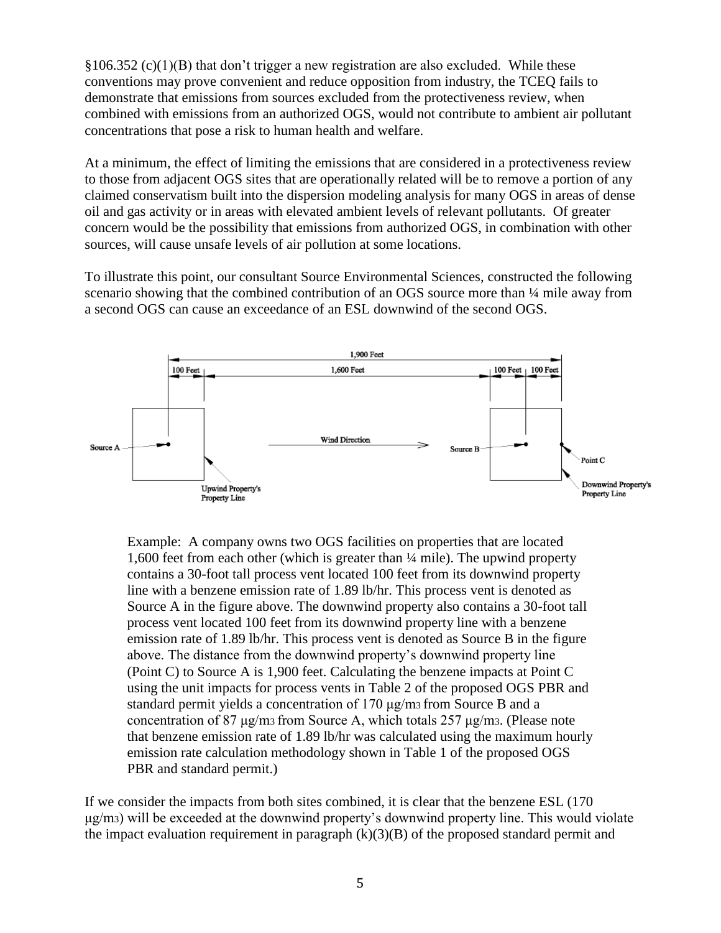$§106.352 (c)(1)(B)$  that don't trigger a new registration are also excluded. While these conventions may prove convenient and reduce opposition from industry, the TCEQ fails to demonstrate that emissions from sources excluded from the protectiveness review, when combined with emissions from an authorized OGS, would not contribute to ambient air pollutant concentrations that pose a risk to human health and welfare.

At a minimum, the effect of limiting the emissions that are considered in a protectiveness review to those from adjacent OGS sites that are operationally related will be to remove a portion of any claimed conservatism built into the dispersion modeling analysis for many OGS in areas of dense oil and gas activity or in areas with elevated ambient levels of relevant pollutants. Of greater concern would be the possibility that emissions from authorized OGS, in combination with other sources, will cause unsafe levels of air pollution at some locations.

To illustrate this point, our consultant Source Environmental Sciences, constructed the following scenario showing that the combined contribution of an OGS source more than  $\frac{1}{4}$  mile away from a second OGS can cause an exceedance of an ESL downwind of the second OGS.



Example: A company owns two OGS facilities on properties that are located 1,600 feet from each other (which is greater than ¼ mile). The upwind property contains a 30-foot tall process vent located 100 feet from its downwind property line with a benzene emission rate of 1.89 lb/hr. This process vent is denoted as Source A in the figure above. The downwind property also contains a 30-foot tall process vent located 100 feet from its downwind property line with a benzene emission rate of 1.89 lb/hr. This process vent is denoted as Source B in the figure above. The distance from the downwind property's downwind property line (Point C) to Source A is 1,900 feet. Calculating the benzene impacts at Point C using the unit impacts for process vents in Table 2 of the proposed OGS PBR and standard permit yields a concentration of 170 μg/m3 from Source B and a concentration of 87 μg/m3 from Source A, which totals 257 μg/m3. (Please note that benzene emission rate of 1.89 lb/hr was calculated using the maximum hourly emission rate calculation methodology shown in Table 1 of the proposed OGS PBR and standard permit.)

If we consider the impacts from both sites combined, it is clear that the benzene ESL (170 μg/m3) will be exceeded at the downwind property's downwind property line. This would violate the impact evaluation requirement in paragraph  $(k)(3)(B)$  of the proposed standard permit and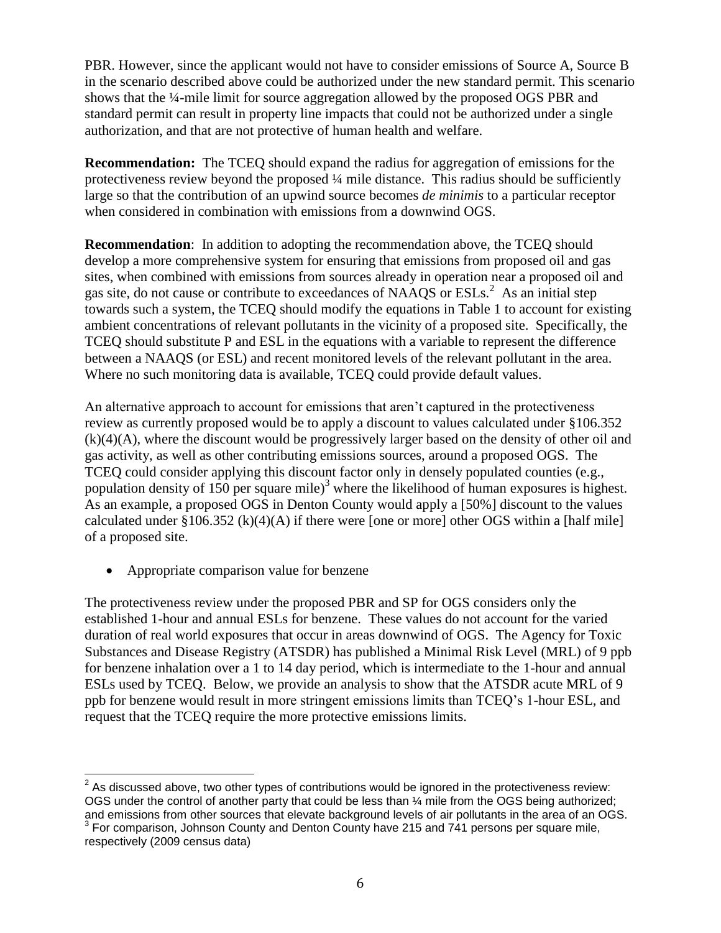PBR. However, since the applicant would not have to consider emissions of Source A, Source B in the scenario described above could be authorized under the new standard permit. This scenario shows that the ¼-mile limit for source aggregation allowed by the proposed OGS PBR and standard permit can result in property line impacts that could not be authorized under a single authorization, and that are not protective of human health and welfare.

**Recommendation:** The TCEQ should expand the radius for aggregation of emissions for the protectiveness review beyond the proposed  $\frac{1}{4}$  mile distance. This radius should be sufficiently large so that the contribution of an upwind source becomes *de minimis* to a particular receptor when considered in combination with emissions from a downwind OGS.

**Recommendation**: In addition to adopting the recommendation above, the TCEQ should develop a more comprehensive system for ensuring that emissions from proposed oil and gas sites, when combined with emissions from sources already in operation near a proposed oil and gas site, do not cause or contribute to exceedances of NAAQS or  $ESLs^2$ . As an initial step towards such a system, the TCEQ should modify the equations in Table 1 to account for existing ambient concentrations of relevant pollutants in the vicinity of a proposed site. Specifically, the TCEQ should substitute P and ESL in the equations with a variable to represent the difference between a NAAQS (or ESL) and recent monitored levels of the relevant pollutant in the area. Where no such monitoring data is available, TCEQ could provide default values.

An alternative approach to account for emissions that aren't captured in the protectiveness review as currently proposed would be to apply a discount to values calculated under §106.352 (k)(4)(A), where the discount would be progressively larger based on the density of other oil and gas activity, as well as other contributing emissions sources, around a proposed OGS. The TCEQ could consider applying this discount factor only in densely populated counties (e.g., population density of 150 per square mile)<sup>3</sup> where the likelihood of human exposures is highest. As an example, a proposed OGS in Denton County would apply a [50%] discount to the values calculated under  $\S 106.352$  (k)(4)(A) if there were [one or more] other OGS within a [half mile] of a proposed site.

• Appropriate comparison value for benzene

The protectiveness review under the proposed PBR and SP for OGS considers only the established 1-hour and annual ESLs for benzene. These values do not account for the varied duration of real world exposures that occur in areas downwind of OGS. The Agency for Toxic Substances and Disease Registry (ATSDR) has published a Minimal Risk Level (MRL) of 9 ppb for benzene inhalation over a 1 to 14 day period, which is intermediate to the 1-hour and annual ESLs used by TCEQ. Below, we provide an analysis to show that the ATSDR acute MRL of 9 ppb for benzene would result in more stringent emissions limits than TCEQ's 1-hour ESL, and request that the TCEQ require the more protective emissions limits.

 $\overline{a}$  $2^{2}$  As discussed above, two other types of contributions would be ignored in the protectiveness review: OGS under the control of another party that could be less than ¼ mile from the OGS being authorized;

and emissions from other sources that elevate background levels of air pollutants in the area of an OGS.<br><sup>3</sup> For comparison, Johnson County and Denton County have 215 and 741 persons per square mile, respectively (2009 census data)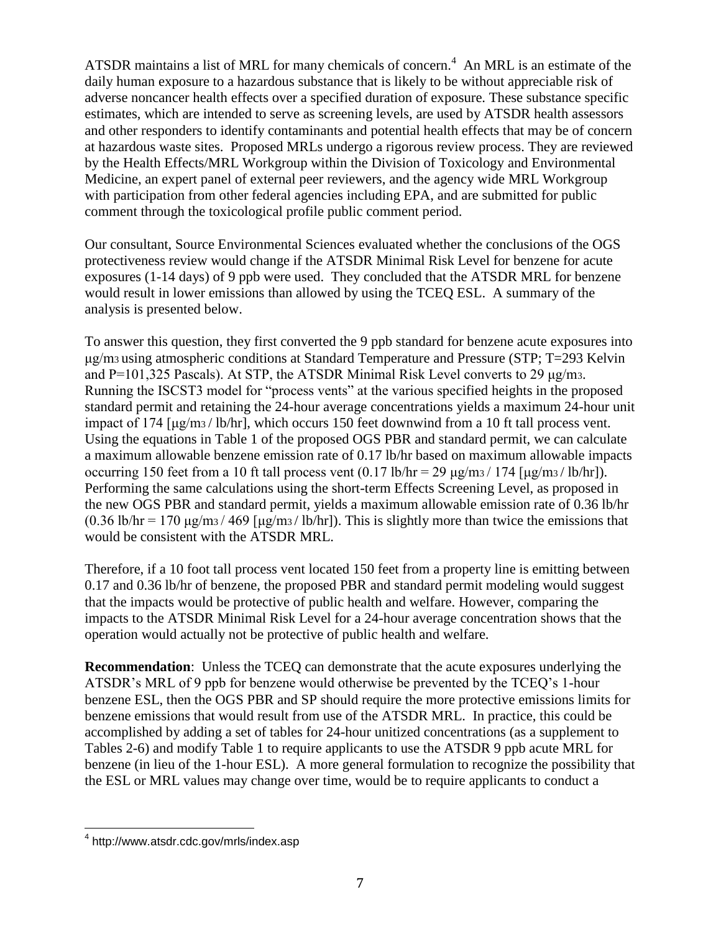ATSDR maintains a list of MRL for many chemicals of concern.<sup>4</sup> An MRL is an estimate of the daily human exposure to a hazardous substance that is likely to be without appreciable risk of adverse noncancer health effects over a specified duration of exposure. These substance specific estimates, which are intended to serve as screening levels, are used by ATSDR health assessors and other responders to identify contaminants and potential health effects that may be of concern at hazardous waste sites. Proposed MRLs undergo a rigorous review process. They are reviewed by the Health Effects/MRL Workgroup within the Division of Toxicology and Environmental Medicine, an expert panel of external peer reviewers, and the agency wide MRL Workgroup with participation from other federal agencies including EPA, and are submitted for public comment through the toxicological profile public comment period.

Our consultant, Source Environmental Sciences evaluated whether the conclusions of the OGS protectiveness review would change if the ATSDR Minimal Risk Level for benzene for acute exposures (1-14 days) of 9 ppb were used. They concluded that the ATSDR MRL for benzene would result in lower emissions than allowed by using the TCEQ ESL. A summary of the analysis is presented below.

To answer this question, they first converted the 9 ppb standard for benzene acute exposures into μg/m3 using atmospheric conditions at Standard Temperature and Pressure (STP; T=293 Kelvin and  $P=101,325$  Pascals). At STP, the ATSDR Minimal Risk Level converts to 29  $\mu$ g/m<sub>3</sub>. Running the ISCST3 model for "process vents" at the various specified heights in the proposed standard permit and retaining the 24-hour average concentrations yields a maximum 24-hour unit impact of 174 [μg/m3 / lb/hr], which occurs 150 feet downwind from a 10 ft tall process vent. Using the equations in Table 1 of the proposed OGS PBR and standard permit, we can calculate a maximum allowable benzene emission rate of 0.17 lb/hr based on maximum allowable impacts occurring 150 feet from a 10 ft tall process vent  $(0.17 \text{ lb/hr} = 29 \text{ µg/m}^3 / 174 \text{ [µg/m}^3 / \text{ lb/hr}$ ). Performing the same calculations using the short-term Effects Screening Level, as proposed in the new OGS PBR and standard permit, yields a maximum allowable emission rate of 0.36 lb/hr  $(0.36 \text{ lb/hr} = 170 \text{ µg/m}$ <sub>3</sub> / 469 [ $\mu$ g/m<sub>3</sub> / lb/hr]). This is slightly more than twice the emissions that would be consistent with the ATSDR MRL.

Therefore, if a 10 foot tall process vent located 150 feet from a property line is emitting between 0.17 and 0.36 lb/hr of benzene, the proposed PBR and standard permit modeling would suggest that the impacts would be protective of public health and welfare. However, comparing the impacts to the ATSDR Minimal Risk Level for a 24-hour average concentration shows that the operation would actually not be protective of public health and welfare.

**Recommendation**: Unless the TCEQ can demonstrate that the acute exposures underlying the ATSDR's MRL of 9 ppb for benzene would otherwise be prevented by the TCEQ's 1-hour benzene ESL, then the OGS PBR and SP should require the more protective emissions limits for benzene emissions that would result from use of the ATSDR MRL. In practice, this could be accomplished by adding a set of tables for 24-hour unitized concentrations (as a supplement to Tables 2-6) and modify Table 1 to require applicants to use the ATSDR 9 ppb acute MRL for benzene (in lieu of the 1-hour ESL). A more general formulation to recognize the possibility that the ESL or MRL values may change over time, would be to require applicants to conduct a

 4 http://www.atsdr.cdc.gov/mrls/index.asp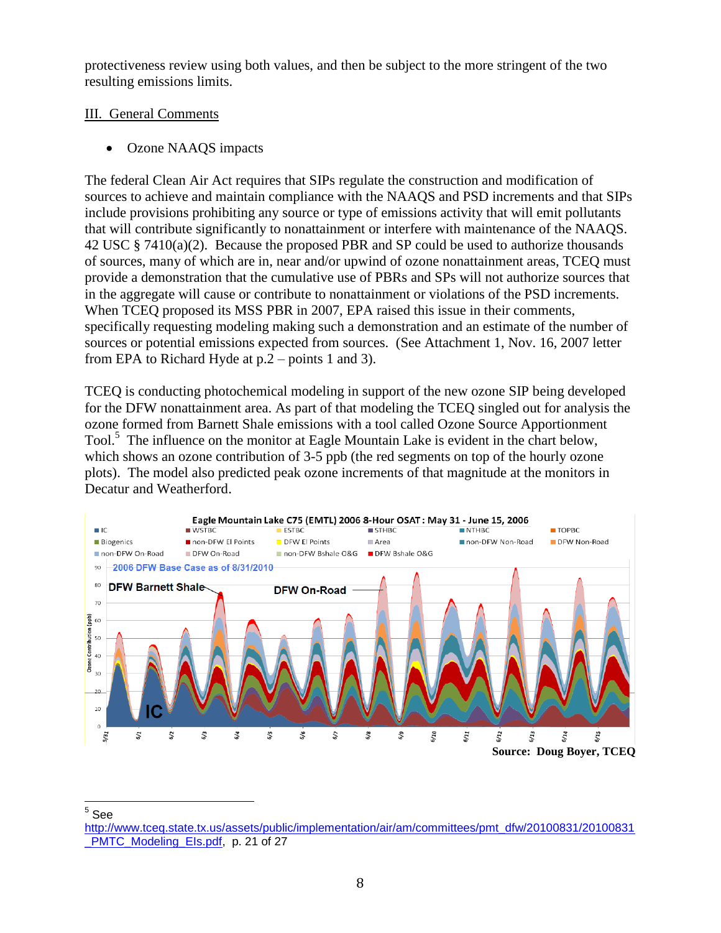protectiveness review using both values, and then be subject to the more stringent of the two resulting emissions limits.

# III. General Comments

Ozone NAAQS impacts

The federal Clean Air Act requires that SIPs regulate the construction and modification of sources to achieve and maintain compliance with the NAAQS and PSD increments and that SIPs include provisions prohibiting any source or type of emissions activity that will emit pollutants that will contribute significantly to nonattainment or interfere with maintenance of the NAAQS. 42 USC § 7410(a)(2). Because the proposed PBR and SP could be used to authorize thousands of sources, many of which are in, near and/or upwind of ozone nonattainment areas, TCEQ must provide a demonstration that the cumulative use of PBRs and SPs will not authorize sources that in the aggregate will cause or contribute to nonattainment or violations of the PSD increments. When TCEQ proposed its MSS PBR in 2007, EPA raised this issue in their comments, specifically requesting modeling making such a demonstration and an estimate of the number of sources or potential emissions expected from sources. (See Attachment 1, Nov. 16, 2007 letter from EPA to Richard Hyde at p.2 – points 1 and 3).

TCEQ is conducting photochemical modeling in support of the new ozone SIP being developed for the DFW nonattainment area. As part of that modeling the TCEQ singled out for analysis the ozone formed from Barnett Shale emissions with a tool called Ozone Source Apportionment Tool.<sup>5</sup> The influence on the monitor at Eagle Mountain Lake is evident in the chart below, which shows an ozone contribution of 3-5 ppb (the red segments on top of the hourly ozone plots). The model also predicted peak ozone increments of that magnitude at the monitors in Decatur and Weatherford.



5 See

[http://www.tceq.state.tx.us/assets/public/implementation/air/am/committees/pmt\\_dfw/20100831/20100831](http://www.tceq.state.tx.us/assets/public/implementation/air/am/committees/pmt_dfw/20100831/20100831_PMTC_Modeling_EIs.pdf) PMTC\_Modeling\_Els.pdf, p. 21 of 27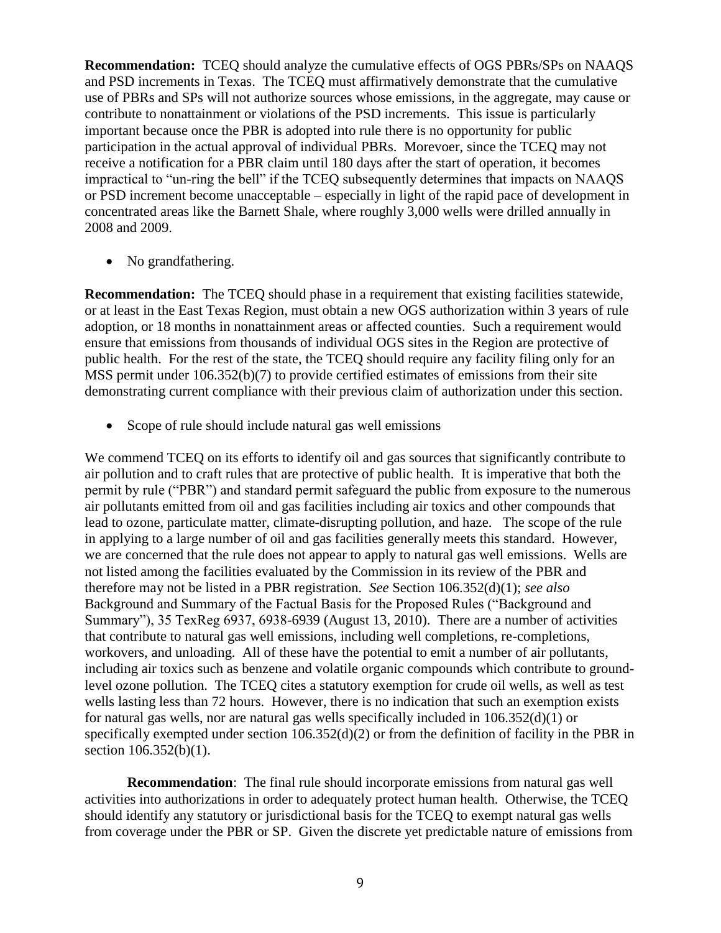**Recommendation:** TCEQ should analyze the cumulative effects of OGS PBRs/SPs on NAAQS and PSD increments in Texas. The TCEQ must affirmatively demonstrate that the cumulative use of PBRs and SPs will not authorize sources whose emissions, in the aggregate, may cause or contribute to nonattainment or violations of the PSD increments. This issue is particularly important because once the PBR is adopted into rule there is no opportunity for public participation in the actual approval of individual PBRs. Morevoer, since the TCEQ may not receive a notification for a PBR claim until 180 days after the start of operation, it becomes impractical to "un-ring the bell" if the TCEQ subsequently determines that impacts on NAAQS or PSD increment become unacceptable – especially in light of the rapid pace of development in concentrated areas like the Barnett Shale, where roughly 3,000 wells were drilled annually in 2008 and 2009.

• No grandfathering.

**Recommendation:** The TCEQ should phase in a requirement that existing facilities statewide, or at least in the East Texas Region, must obtain a new OGS authorization within 3 years of rule adoption, or 18 months in nonattainment areas or affected counties. Such a requirement would ensure that emissions from thousands of individual OGS sites in the Region are protective of public health. For the rest of the state, the TCEQ should require any facility filing only for an MSS permit under 106.352(b)(7) to provide certified estimates of emissions from their site demonstrating current compliance with their previous claim of authorization under this section.

• Scope of rule should include natural gas well emissions

We commend TCEQ on its efforts to identify oil and gas sources that significantly contribute to air pollution and to craft rules that are protective of public health. It is imperative that both the permit by rule ("PBR") and standard permit safeguard the public from exposure to the numerous air pollutants emitted from oil and gas facilities including air toxics and other compounds that lead to ozone, particulate matter, climate-disrupting pollution, and haze. The scope of the rule in applying to a large number of oil and gas facilities generally meets this standard. However, we are concerned that the rule does not appear to apply to natural gas well emissions. Wells are not listed among the facilities evaluated by the Commission in its review of the PBR and therefore may not be listed in a PBR registration. *See* Section 106.352(d)(1); *see also* Background and Summary of the Factual Basis for the Proposed Rules ("Background and Summary"), 35 TexReg 6937, 6938-6939 (August 13, 2010). There are a number of activities that contribute to natural gas well emissions, including well completions, re-completions, workovers, and unloading. All of these have the potential to emit a number of air pollutants, including air toxics such as benzene and volatile organic compounds which contribute to groundlevel ozone pollution. The TCEQ cites a statutory exemption for crude oil wells, as well as test wells lasting less than 72 hours. However, there is no indication that such an exemption exists for natural gas wells, nor are natural gas wells specifically included in 106.352(d)(1) or specifically exempted under section 106.352(d)(2) or from the definition of facility in the PBR in section 106.352(b)(1).

**Recommendation**: The final rule should incorporate emissions from natural gas well activities into authorizations in order to adequately protect human health. Otherwise, the TCEQ should identify any statutory or jurisdictional basis for the TCEQ to exempt natural gas wells from coverage under the PBR or SP. Given the discrete yet predictable nature of emissions from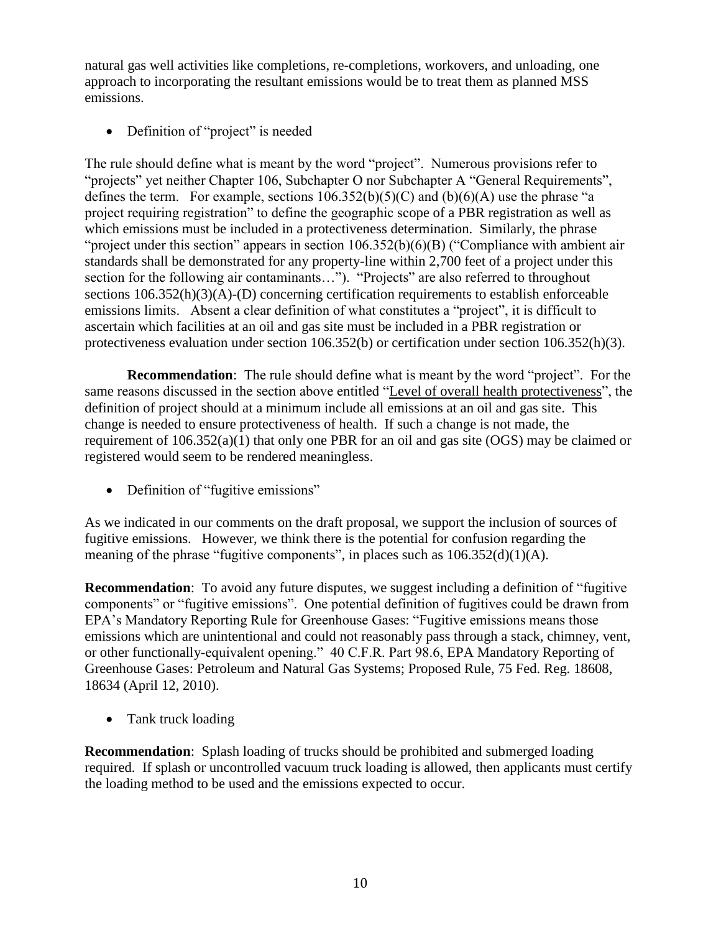natural gas well activities like completions, re-completions, workovers, and unloading, one approach to incorporating the resultant emissions would be to treat them as planned MSS emissions.

• Definition of "project" is needed

The rule should define what is meant by the word "project". Numerous provisions refer to "projects" yet neither Chapter 106, Subchapter O nor Subchapter A "General Requirements", defines the term. For example, sections  $106.352(b)(5)(C)$  and  $(b)(6)(A)$  use the phrase "a project requiring registration‖ to define the geographic scope of a PBR registration as well as which emissions must be included in a protectiveness determination. Similarly, the phrase "project under this section" appears in section  $106.352(b)(6)(B)$  ("Compliance with ambient air standards shall be demonstrated for any property-line within 2,700 feet of a project under this section for the following air contaminants..."). "Projects" are also referred to throughout sections  $106.352(h)(3)(A)$ -(D) concerning certification requirements to establish enforceable emissions limits. Absent a clear definition of what constitutes a "project", it is difficult to ascertain which facilities at an oil and gas site must be included in a PBR registration or protectiveness evaluation under section 106.352(b) or certification under section 106.352(h)(3).

**Recommendation**: The rule should define what is meant by the word "project". For the same reasons discussed in the section above entitled "Level of overall health protectiveness", the definition of project should at a minimum include all emissions at an oil and gas site. This change is needed to ensure protectiveness of health. If such a change is not made, the requirement of 106.352(a)(1) that only one PBR for an oil and gas site (OGS) may be claimed or registered would seem to be rendered meaningless.

• Definition of "fugitive emissions"

As we indicated in our comments on the draft proposal, we support the inclusion of sources of fugitive emissions. However, we think there is the potential for confusion regarding the meaning of the phrase "fugitive components", in places such as  $106.352(d)(1)(A)$ .

**Recommendation**: To avoid any future disputes, we suggest including a definition of "fugitive" components" or "fugitive emissions". One potential definition of fugitives could be drawn from EPA's Mandatory Reporting Rule for Greenhouse Gases: "Fugitive emissions means those emissions which are unintentional and could not reasonably pass through a stack, chimney, vent, or other functionally-equivalent opening." 40 C.F.R. Part 98.6, EPA Mandatory Reporting of Greenhouse Gases: Petroleum and Natural Gas Systems; Proposed Rule, 75 Fed. Reg. 18608, 18634 (April 12, 2010).

• Tank truck loading

**Recommendation**: Splash loading of trucks should be prohibited and submerged loading required. If splash or uncontrolled vacuum truck loading is allowed, then applicants must certify the loading method to be used and the emissions expected to occur.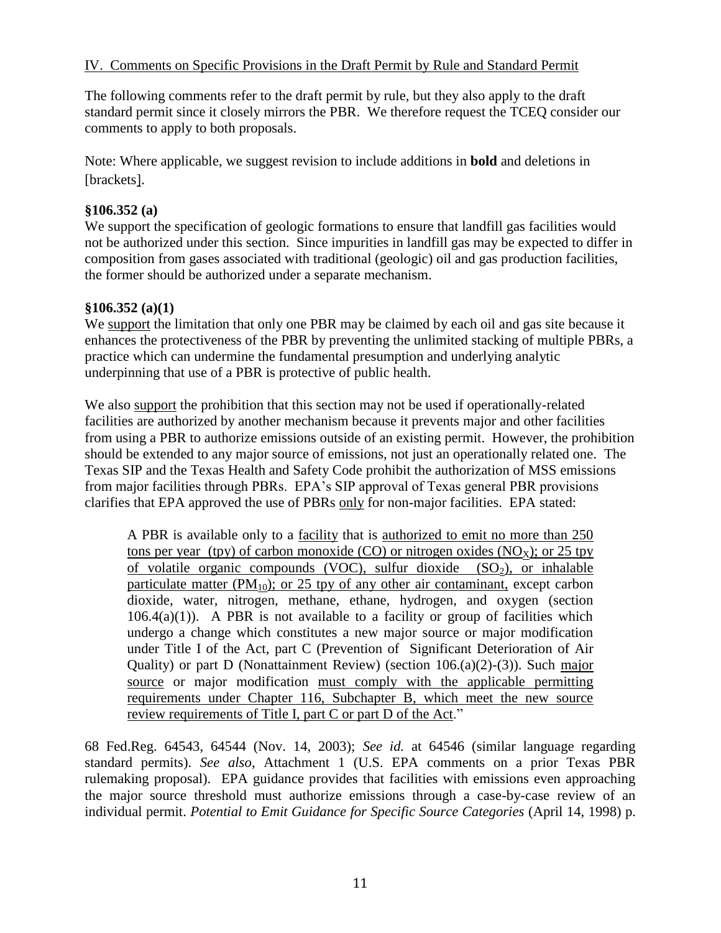# IV. Comments on Specific Provisions in the Draft Permit by Rule and Standard Permit

The following comments refer to the draft permit by rule, but they also apply to the draft standard permit since it closely mirrors the PBR. We therefore request the TCEQ consider our comments to apply to both proposals.

Note: Where applicable, we suggest revision to include additions in **bold** and deletions in [brackets].

### **§106.352 (a)**

We support the specification of geologic formations to ensure that landfill gas facilities would not be authorized under this section. Since impurities in landfill gas may be expected to differ in composition from gases associated with traditional (geologic) oil and gas production facilities, the former should be authorized under a separate mechanism.

### **§106.352 (a)(1)**

We support the limitation that only one PBR may be claimed by each oil and gas site because it enhances the protectiveness of the PBR by preventing the unlimited stacking of multiple PBRs, a practice which can undermine the fundamental presumption and underlying analytic underpinning that use of a PBR is protective of public health.

We also support the prohibition that this section may not be used if operationally-related facilities are authorized by another mechanism because it prevents major and other facilities from using a PBR to authorize emissions outside of an existing permit. However, the prohibition should be extended to any major source of emissions, not just an operationally related one. The Texas SIP and the Texas Health and Safety Code prohibit the authorization of MSS emissions from major facilities through PBRs. EPA's SIP approval of Texas general PBR provisions clarifies that EPA approved the use of PBRs only for non-major facilities. EPA stated:

A PBR is available only to a facility that is authorized to emit no more than 250 tons per year (tpy) of carbon monoxide (CO) or nitrogen oxides (NO<sub>x</sub>); or 25 tpy of volatile organic compounds (VOC), sulfur dioxide  $(SO<sub>2</sub>)$ , or inhalable particulate matter ( $PM_{10}$ ); or 25 tpy of any other air contaminant, except carbon dioxide, water, nitrogen, methane, ethane, hydrogen, and oxygen (section  $106.4(a)(1)$ . A PBR is not available to a facility or group of facilities which undergo a change which constitutes a new major source or major modification under Title I of the Act, part C (Prevention of Significant Deterioration of Air Quality) or part D (Nonattainment Review) (section 106.(a)(2)-(3)). Such major source or major modification must comply with the applicable permitting requirements under Chapter 116, Subchapter B, which meet the new source review requirements of Title I, part C or part D of the Act."

68 Fed.Reg. 64543, 64544 (Nov. 14, 2003); *See id.* at 64546 (similar language regarding standard permits). *See also*, Attachment 1 (U.S. EPA comments on a prior Texas PBR rulemaking proposal). EPA guidance provides that facilities with emissions even approaching the major source threshold must authorize emissions through a case-by-case review of an individual permit. *Potential to Emit Guidance for Specific Source Categories* (April 14, 1998) p.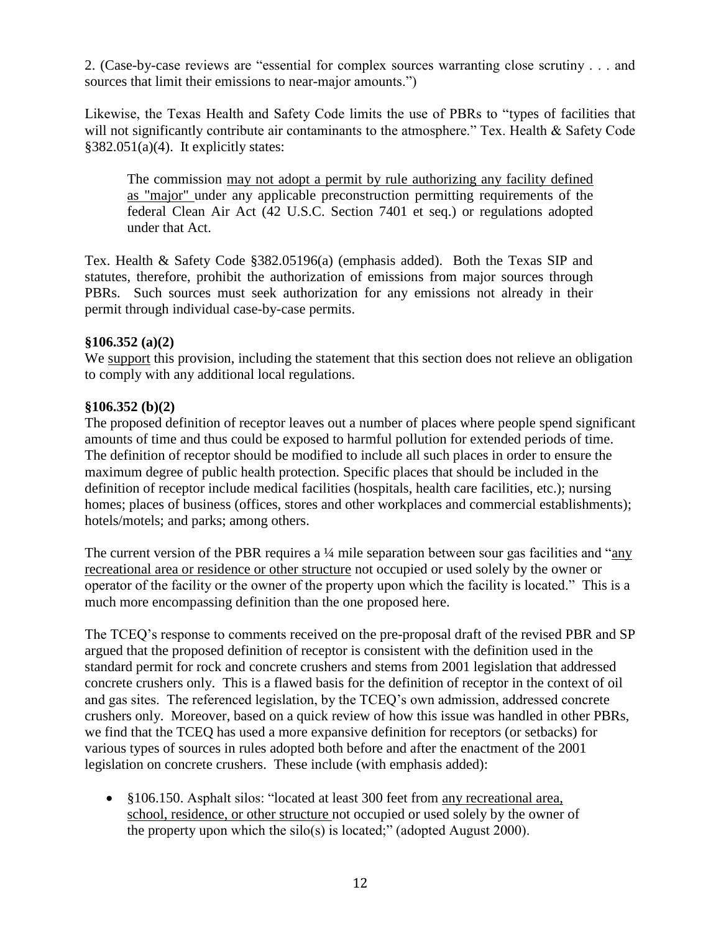2. (Case-by-case reviews are "essential for complex sources warranting close scrutiny . . . and sources that limit their emissions to near-major amounts.")

Likewise, the Texas Health and Safety Code limits the use of PBRs to "types of facilities that will not significantly contribute air contaminants to the atmosphere." Tex. Health  $&$  Safety Code  $§382.051(a)(4)$ . It explicitly states:

The commission may not adopt a permit by rule authorizing any facility defined as "major" under any applicable preconstruction permitting requirements of the federal Clean Air Act (42 U.S.C. Section 7401 et seq.) or regulations adopted under that Act.

Tex. Health & Safety Code §382.05196(a) (emphasis added). Both the Texas SIP and statutes, therefore, prohibit the authorization of emissions from major sources through PBRs. Such sources must seek authorization for any emissions not already in their permit through individual case-by-case permits.

### **§106.352 (a)(2)**

We support this provision, including the statement that this section does not relieve an obligation to comply with any additional local regulations.

### **§106.352 (b)(2)**

The proposed definition of receptor leaves out a number of places where people spend significant amounts of time and thus could be exposed to harmful pollution for extended periods of time. The definition of receptor should be modified to include all such places in order to ensure the maximum degree of public health protection. Specific places that should be included in the definition of receptor include medical facilities (hospitals, health care facilities, etc.); nursing homes; places of business (offices, stores and other workplaces and commercial establishments); hotels/motels; and parks; among others.

The current version of the PBR requires a  $\frac{1}{4}$  mile separation between sour gas facilities and "any" recreational area or residence or other structure not occupied or used solely by the owner or operator of the facility or the owner of the property upon which the facility is located." This is a much more encompassing definition than the one proposed here.

The TCEQ's response to comments received on the pre-proposal draft of the revised PBR and SP argued that the proposed definition of receptor is consistent with the definition used in the standard permit for rock and concrete crushers and stems from 2001 legislation that addressed concrete crushers only. This is a flawed basis for the definition of receptor in the context of oil and gas sites. The referenced legislation, by the TCEQ's own admission, addressed concrete crushers only. Moreover, based on a quick review of how this issue was handled in other PBRs, we find that the TCEQ has used a more expansive definition for receptors (or setbacks) for various types of sources in rules adopted both before and after the enactment of the 2001 legislation on concrete crushers. These include (with emphasis added):

• §106.150. Asphalt silos: "located at least 300 feet from any recreational area, school, residence, or other structure not occupied or used solely by the owner of the property upon which the silo(s) is located;" (adopted August 2000).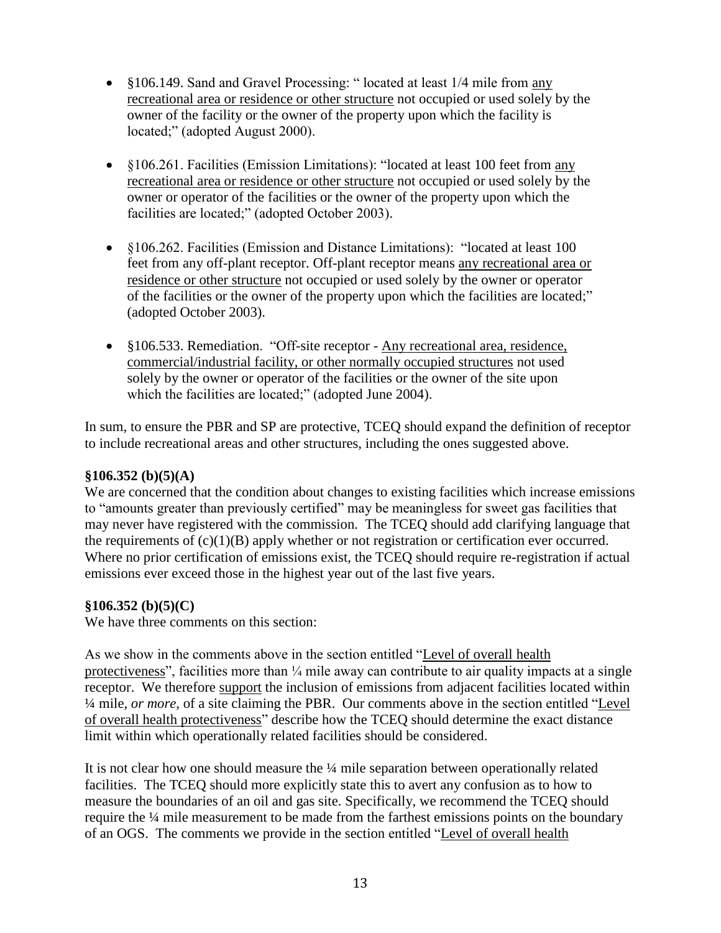- §106.149. Sand and Gravel Processing: "located at least 1/4 mile from any recreational area or residence or other structure not occupied or used solely by the owner of the facility or the owner of the property upon which the facility is located;" (adopted August 2000).
- §106.261. Facilities (Emission Limitations): "located at least 100 feet from any recreational area or residence or other structure not occupied or used solely by the owner or operator of the facilities or the owner of the property upon which the facilities are located;" (adopted October 2003).
- §106.262. Facilities (Emission and Distance Limitations): "located at least 100 feet from any off-plant receptor. Off-plant receptor means any recreational area or residence or other structure not occupied or used solely by the owner or operator of the facilities or the owner of the property upon which the facilities are located;" (adopted October 2003).
- §106.533. Remediation. "Off-site receptor Any recreational area, residence, commercial/industrial facility, or other normally occupied structures not used solely by the owner or operator of the facilities or the owner of the site upon which the facilities are located;" (adopted June 2004).

In sum, to ensure the PBR and SP are protective, TCEQ should expand the definition of receptor to include recreational areas and other structures, including the ones suggested above.

## **§106.352 (b)(5)(A)**

We are concerned that the condition about changes to existing facilities which increase emissions to "amounts greater than previously certified" may be meaningless for sweet gas facilities that may never have registered with the commission. The TCEQ should add clarifying language that the requirements of  $(c)(1)(B)$  apply whether or not registration or certification ever occurred. Where no prior certification of emissions exist, the TCEQ should require re-registration if actual emissions ever exceed those in the highest year out of the last five years.

## **§106.352 (b)(5)(C)**

We have three comments on this section:

As we show in the comments above in the section entitled "Level of overall health protectiveness", facilities more than  $\frac{1}{4}$  mile away can contribute to air quality impacts at a single receptor. We therefore support the inclusion of emissions from adjacent facilities located within <sup>1/4</sup> mile, *or more*, of a site claiming the PBR. Our comments above in the section entitled "Level" of overall health protectiveness" describe how the TCEQ should determine the exact distance limit within which operationally related facilities should be considered.

It is not clear how one should measure the ¼ mile separation between operationally related facilities. The TCEQ should more explicitly state this to avert any confusion as to how to measure the boundaries of an oil and gas site. Specifically, we recommend the TCEQ should require the ¼ mile measurement to be made from the farthest emissions points on the boundary of an OGS. The comments we provide in the section entitled "Level of overall health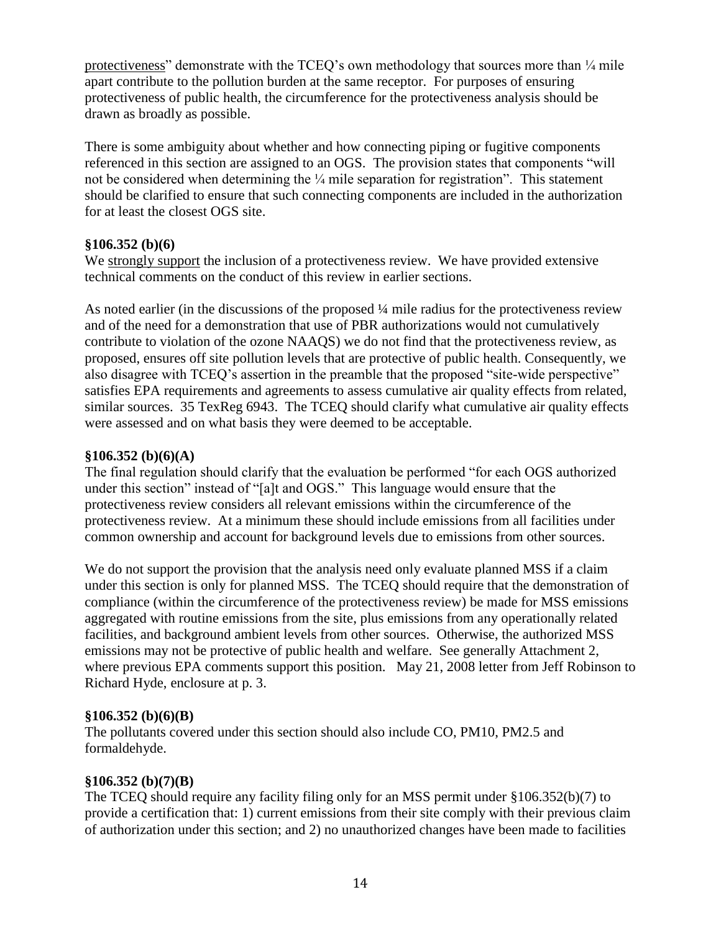protectiveness" demonstrate with the TCEQ's own methodology that sources more than  $\frac{1}{4}$  mile apart contribute to the pollution burden at the same receptor. For purposes of ensuring protectiveness of public health, the circumference for the protectiveness analysis should be drawn as broadly as possible.

There is some ambiguity about whether and how connecting piping or fugitive components referenced in this section are assigned to an OGS. The provision states that components "will not be considered when determining the  $\frac{1}{4}$  mile separation for registration". This statement should be clarified to ensure that such connecting components are included in the authorization for at least the closest OGS site.

## **§106.352 (b)(6)**

We strongly support the inclusion of a protectiveness review. We have provided extensive technical comments on the conduct of this review in earlier sections.

As noted earlier (in the discussions of the proposed ¼ mile radius for the protectiveness review and of the need for a demonstration that use of PBR authorizations would not cumulatively contribute to violation of the ozone NAAQS) we do not find that the protectiveness review, as proposed, ensures off site pollution levels that are protective of public health. Consequently, we also disagree with TCEQ's assertion in the preamble that the proposed "site-wide perspective" satisfies EPA requirements and agreements to assess cumulative air quality effects from related, similar sources. 35 TexReg 6943. The TCEQ should clarify what cumulative air quality effects were assessed and on what basis they were deemed to be acceptable.

### **§106.352 (b)(6)(A)**

The final regulation should clarify that the evaluation be performed "for each OGS authorized under this section" instead of "[a]t and OGS." This language would ensure that the protectiveness review considers all relevant emissions within the circumference of the protectiveness review. At a minimum these should include emissions from all facilities under common ownership and account for background levels due to emissions from other sources.

We do not support the provision that the analysis need only evaluate planned MSS if a claim under this section is only for planned MSS. The TCEQ should require that the demonstration of compliance (within the circumference of the protectiveness review) be made for MSS emissions aggregated with routine emissions from the site, plus emissions from any operationally related facilities, and background ambient levels from other sources. Otherwise, the authorized MSS emissions may not be protective of public health and welfare. See generally Attachment 2, where previous EPA comments support this position. May 21, 2008 letter from Jeff Robinson to Richard Hyde, enclosure at p. 3.

### **§106.352 (b)(6)(B)**

The pollutants covered under this section should also include CO, PM10, PM2.5 and formaldehyde.

## **§106.352 (b)(7)(B)**

The TCEQ should require any facility filing only for an MSS permit under §106.352(b)(7) to provide a certification that: 1) current emissions from their site comply with their previous claim of authorization under this section; and 2) no unauthorized changes have been made to facilities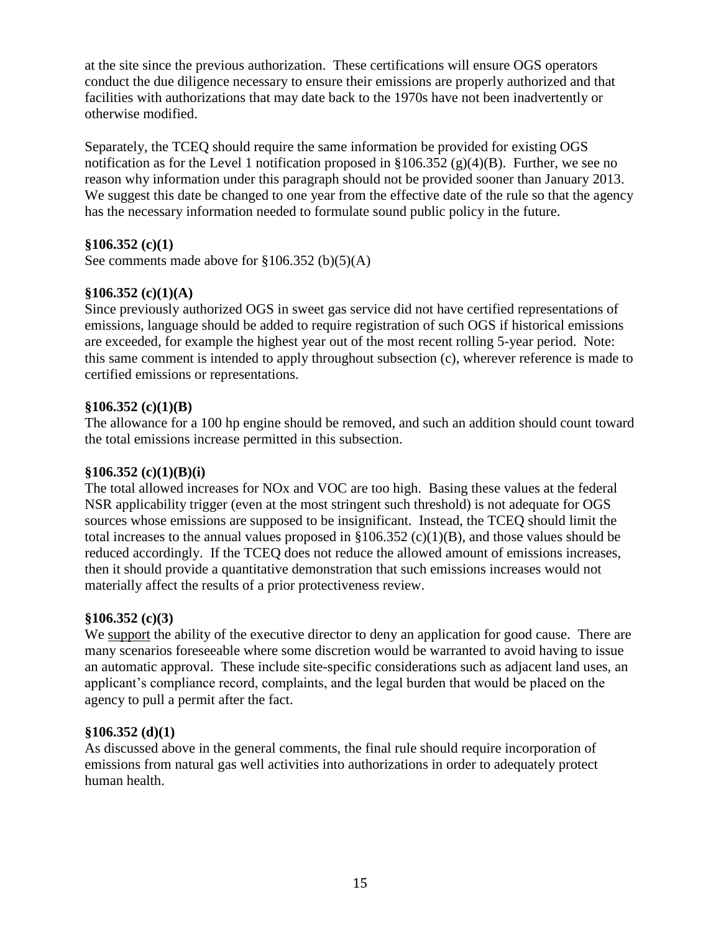at the site since the previous authorization. These certifications will ensure OGS operators conduct the due diligence necessary to ensure their emissions are properly authorized and that facilities with authorizations that may date back to the 1970s have not been inadvertently or otherwise modified.

Separately, the TCEQ should require the same information be provided for existing OGS notification as for the Level 1 notification proposed in  $$106.352 (g)(4)(B)$ . Further, we see no reason why information under this paragraph should not be provided sooner than January 2013. We suggest this date be changed to one year from the effective date of the rule so that the agency has the necessary information needed to formulate sound public policy in the future.

## **§106.352 (c)(1)**

See comments made above for  $\S 106.352$  (b)(5)(A)

### **§106.352 (c)(1)(A)**

Since previously authorized OGS in sweet gas service did not have certified representations of emissions, language should be added to require registration of such OGS if historical emissions are exceeded, for example the highest year out of the most recent rolling 5-year period. Note: this same comment is intended to apply throughout subsection (c), wherever reference is made to certified emissions or representations.

### **§106.352 (c)(1)(B)**

The allowance for a 100 hp engine should be removed, and such an addition should count toward the total emissions increase permitted in this subsection.

### **§106.352 (c)(1)(B)(i)**

The total allowed increases for NOx and VOC are too high. Basing these values at the federal NSR applicability trigger (even at the most stringent such threshold) is not adequate for OGS sources whose emissions are supposed to be insignificant. Instead, the TCEQ should limit the total increases to the annual values proposed in  $\S 106.352$  (c)(1)(B), and those values should be reduced accordingly. If the TCEQ does not reduce the allowed amount of emissions increases, then it should provide a quantitative demonstration that such emissions increases would not materially affect the results of a prior protectiveness review.

### **§106.352 (c)(3)**

We support the ability of the executive director to deny an application for good cause. There are many scenarios foreseeable where some discretion would be warranted to avoid having to issue an automatic approval. These include site-specific considerations such as adjacent land uses, an applicant's compliance record, complaints, and the legal burden that would be placed on the agency to pull a permit after the fact.

### **§106.352 (d)(1)**

As discussed above in the general comments, the final rule should require incorporation of emissions from natural gas well activities into authorizations in order to adequately protect human health.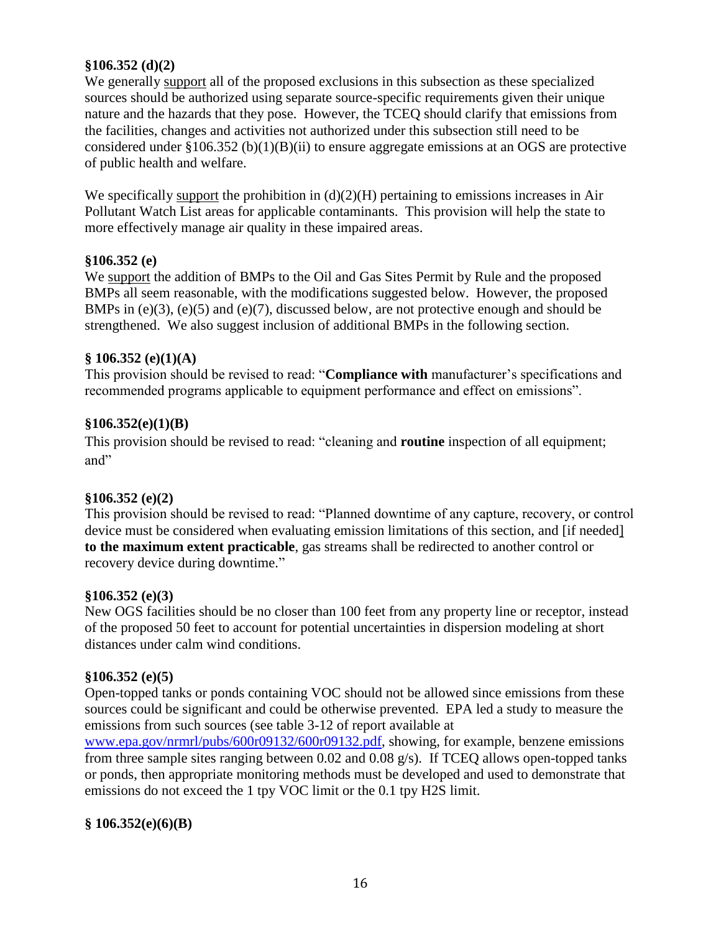### **§106.352 (d)(2)**

We generally support all of the proposed exclusions in this subsection as these specialized sources should be authorized using separate source-specific requirements given their unique nature and the hazards that they pose. However, the TCEQ should clarify that emissions from the facilities, changes and activities not authorized under this subsection still need to be considered under §106.352 (b)(1)(B)(ii) to ensure aggregate emissions at an OGS are protective of public health and welfare.

We specifically support the prohibition in  $(d)(2)(H)$  pertaining to emissions increases in Air Pollutant Watch List areas for applicable contaminants. This provision will help the state to more effectively manage air quality in these impaired areas.

### **§106.352 (e)**

We support the addition of BMPs to the Oil and Gas Sites Permit by Rule and the proposed BMPs all seem reasonable, with the modifications suggested below. However, the proposed BMPs in (e)(3), (e)(5) and (e)(7), discussed below, are not protective enough and should be strengthened. We also suggest inclusion of additional BMPs in the following section.

### **§ 106.352 (e)(1)(A)**

This provision should be revised to read: "**Compliance with** manufacturer's specifications and recommended programs applicable to equipment performance and effect on emissions".

### **§106.352(e)(1)(B)**

This provision should be revised to read: "cleaning and **routine** inspection of all equipment; and"

### **§106.352 (e)(2)**

This provision should be revised to read: "Planned downtime of any capture, recovery, or control device must be considered when evaluating emission limitations of this section, and [if needed] **to the maximum extent practicable**, gas streams shall be redirected to another control or recovery device during downtime."

### **§106.352 (e)(3)**

New OGS facilities should be no closer than 100 feet from any property line or receptor, instead of the proposed 50 feet to account for potential uncertainties in dispersion modeling at short distances under calm wind conditions.

### **§106.352 (e)(5)**

Open-topped tanks or ponds containing VOC should not be allowed since emissions from these sources could be significant and could be otherwise prevented. EPA led a study to measure the emissions from such sources (see table 3-12 of report available at [www.epa.gov/nrmrl/pubs/600r09132/600r09132.pdf,](http://www.epa.gov/nrmrl/pubs/600r09132/600r09132.pdf) showing, for example, benzene emissions from three sample sites ranging between 0.02 and 0.08 g/s). If TCEQ allows open-topped tanks or ponds, then appropriate monitoring methods must be developed and used to demonstrate that emissions do not exceed the 1 tpy VOC limit or the 0.1 tpy H2S limit.

## **§ 106.352(e)(6)(B)**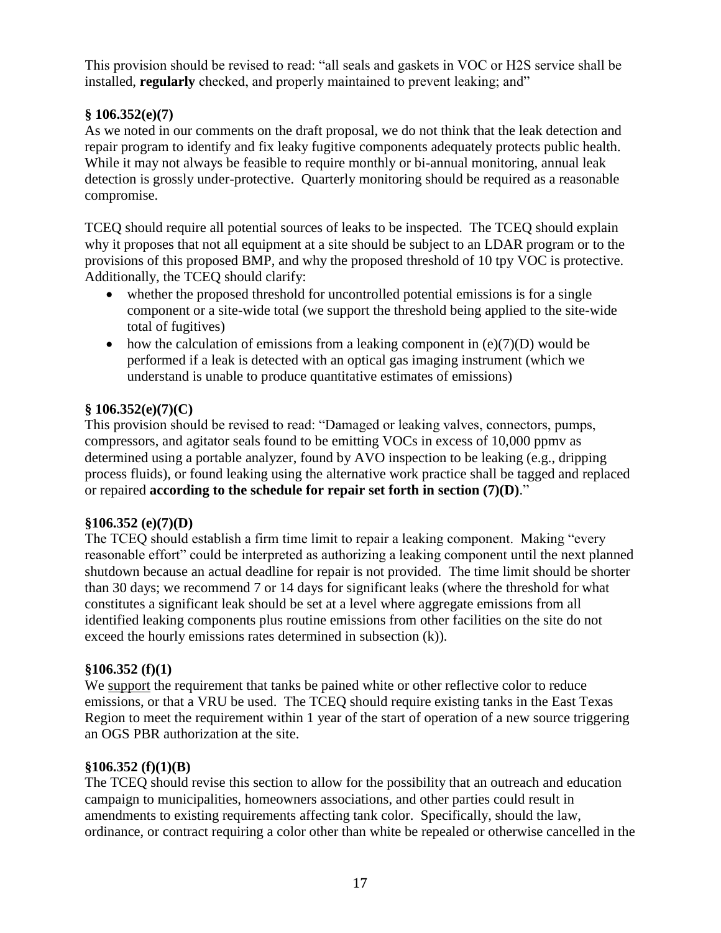This provision should be revised to read: "all seals and gaskets in VOC or H2S service shall be installed, **regularly** checked, and properly maintained to prevent leaking; and<sup>"</sup>

# **§ 106.352(e)(7)**

As we noted in our comments on the draft proposal, we do not think that the leak detection and repair program to identify and fix leaky fugitive components adequately protects public health. While it may not always be feasible to require monthly or bi-annual monitoring, annual leak detection is grossly under-protective. Quarterly monitoring should be required as a reasonable compromise.

TCEQ should require all potential sources of leaks to be inspected. The TCEQ should explain why it proposes that not all equipment at a site should be subject to an LDAR program or to the provisions of this proposed BMP, and why the proposed threshold of 10 tpy VOC is protective. Additionally, the TCEQ should clarify:

- whether the proposed threshold for uncontrolled potential emissions is for a single component or a site-wide total (we support the threshold being applied to the site-wide total of fugitives)
- how the calculation of emissions from a leaking component in  $(e)(7)(D)$  would be performed if a leak is detected with an optical gas imaging instrument (which we understand is unable to produce quantitative estimates of emissions)

# **§ 106.352(e)(7)(C)**

This provision should be revised to read: "Damaged or leaking valves, connectors, pumps, compressors, and agitator seals found to be emitting VOCs in excess of 10,000 ppmv as determined using a portable analyzer, found by AVO inspection to be leaking (e.g., dripping process fluids), or found leaking using the alternative work practice shall be tagged and replaced or repaired **according to the schedule for repair set forth in section**  $(7)(D)$ **.**"

## **§106.352 (e)(7)(D)**

The TCEQ should establish a firm time limit to repair a leaking component. Making "every" reasonable effort" could be interpreted as authorizing a leaking component until the next planned shutdown because an actual deadline for repair is not provided. The time limit should be shorter than 30 days; we recommend 7 or 14 days for significant leaks (where the threshold for what constitutes a significant leak should be set at a level where aggregate emissions from all identified leaking components plus routine emissions from other facilities on the site do not exceed the hourly emissions rates determined in subsection (k)).

## **§106.352 (f)(1)**

We support the requirement that tanks be pained white or other reflective color to reduce emissions, or that a VRU be used. The TCEQ should require existing tanks in the East Texas Region to meet the requirement within 1 year of the start of operation of a new source triggering an OGS PBR authorization at the site.

## **§106.352 (f)(1)(B)**

The TCEQ should revise this section to allow for the possibility that an outreach and education campaign to municipalities, homeowners associations, and other parties could result in amendments to existing requirements affecting tank color. Specifically, should the law, ordinance, or contract requiring a color other than white be repealed or otherwise cancelled in the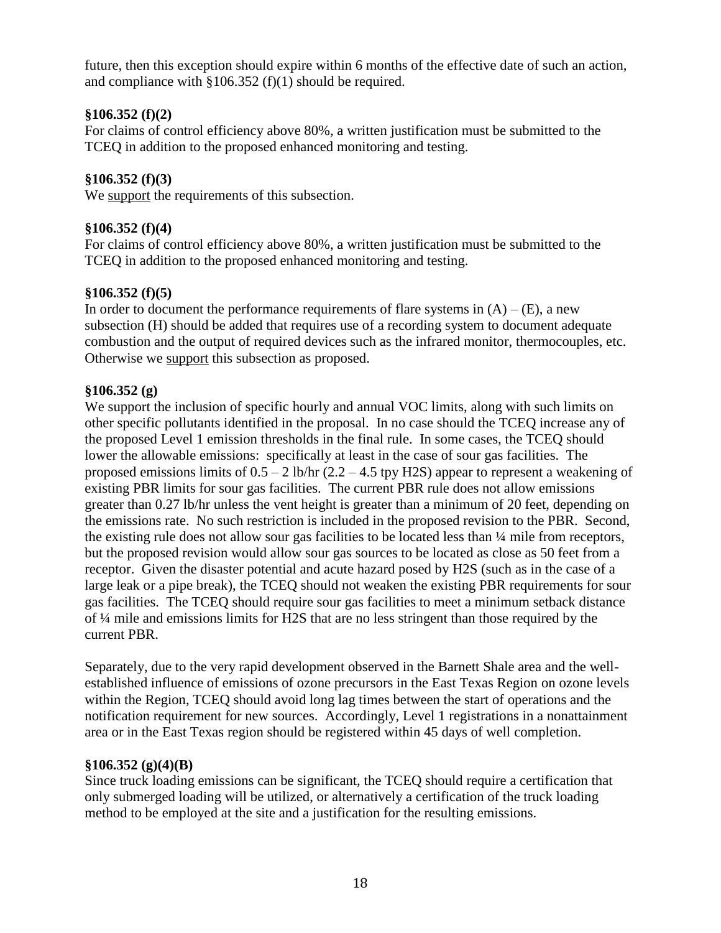future, then this exception should expire within 6 months of the effective date of such an action, and compliance with  $\S 106.352$  (f)(1) should be required.

# **§106.352 (f)(2)**

For claims of control efficiency above 80%, a written justification must be submitted to the TCEQ in addition to the proposed enhanced monitoring and testing.

# **§106.352 (f)(3)**

We support the requirements of this subsection.

# **§106.352 (f)(4)**

For claims of control efficiency above 80%, a written justification must be submitted to the TCEQ in addition to the proposed enhanced monitoring and testing.

## **§106.352 (f)(5)**

In order to document the performance requirements of flare systems in  $(A) - (E)$ , a new subsection (H) should be added that requires use of a recording system to document adequate combustion and the output of required devices such as the infrared monitor, thermocouples, etc. Otherwise we support this subsection as proposed.

## **§106.352 (g)**

We support the inclusion of specific hourly and annual VOC limits, along with such limits on other specific pollutants identified in the proposal. In no case should the TCEQ increase any of the proposed Level 1 emission thresholds in the final rule. In some cases, the TCEQ should lower the allowable emissions: specifically at least in the case of sour gas facilities. The proposed emissions limits of  $0.5 - 2$  lb/hr  $(2.2 - 4.5$  tpy H2S) appear to represent a weakening of existing PBR limits for sour gas facilities. The current PBR rule does not allow emissions greater than 0.27 lb/hr unless the vent height is greater than a minimum of 20 feet, depending on the emissions rate. No such restriction is included in the proposed revision to the PBR. Second, the existing rule does not allow sour gas facilities to be located less than ¼ mile from receptors, but the proposed revision would allow sour gas sources to be located as close as 50 feet from a receptor. Given the disaster potential and acute hazard posed by H2S (such as in the case of a large leak or a pipe break), the TCEQ should not weaken the existing PBR requirements for sour gas facilities. The TCEQ should require sour gas facilities to meet a minimum setback distance of ¼ mile and emissions limits for H2S that are no less stringent than those required by the current PBR.

Separately, due to the very rapid development observed in the Barnett Shale area and the wellestablished influence of emissions of ozone precursors in the East Texas Region on ozone levels within the Region, TCEQ should avoid long lag times between the start of operations and the notification requirement for new sources. Accordingly, Level 1 registrations in a nonattainment area or in the East Texas region should be registered within 45 days of well completion.

## **§106.352 (g)(4)(B)**

Since truck loading emissions can be significant, the TCEQ should require a certification that only submerged loading will be utilized, or alternatively a certification of the truck loading method to be employed at the site and a justification for the resulting emissions.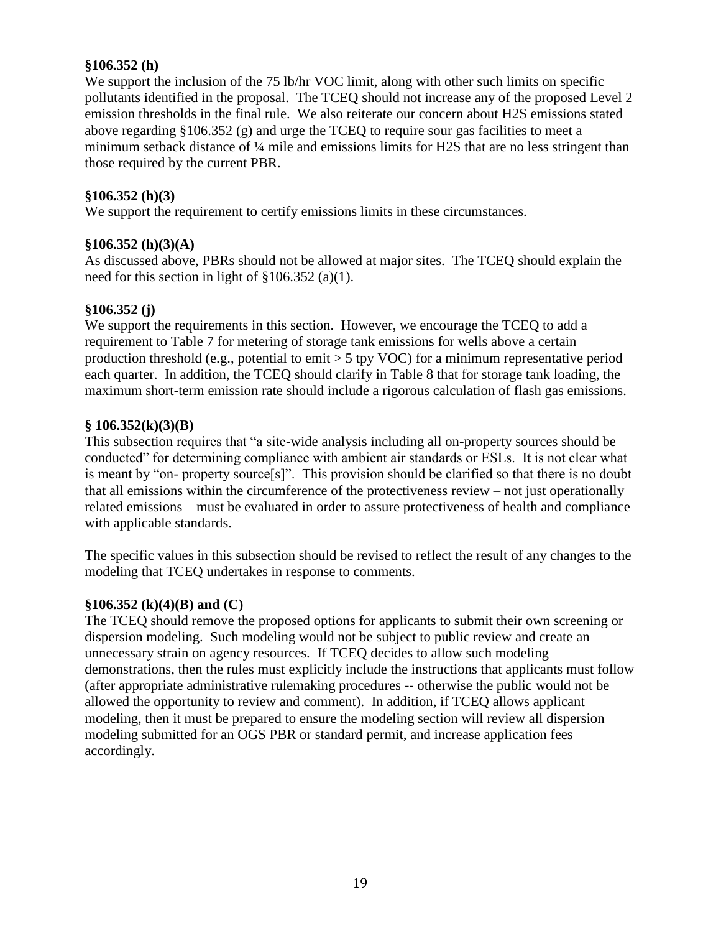### **§106.352 (h)**

We support the inclusion of the 75 lb/hr VOC limit, along with other such limits on specific pollutants identified in the proposal. The TCEQ should not increase any of the proposed Level 2 emission thresholds in the final rule. We also reiterate our concern about H2S emissions stated above regarding §106.352 (g) and urge the TCEQ to require sour gas facilities to meet a minimum setback distance of ¼ mile and emissions limits for H2S that are no less stringent than those required by the current PBR.

### **§106.352 (h)(3)**

We support the requirement to certify emissions limits in these circumstances.

#### **§106.352 (h)(3)(A)**

As discussed above, PBRs should not be allowed at major sites. The TCEQ should explain the need for this section in light of §106.352 (a)(1).

#### **§106.352 (j)**

We support the requirements in this section. However, we encourage the TCEQ to add a requirement to Table 7 for metering of storage tank emissions for wells above a certain production threshold (e.g., potential to emit > 5 tpy VOC) for a minimum representative period each quarter. In addition, the TCEQ should clarify in Table 8 that for storage tank loading, the maximum short-term emission rate should include a rigorous calculation of flash gas emissions.

#### **§ 106.352(k)(3)(B)**

This subsection requires that "a site-wide analysis including all on-property sources should be conducted" for determining compliance with ambient air standards or ESLs. It is not clear what is meant by "on- property source[s]". This provision should be clarified so that there is no doubt that all emissions within the circumference of the protectiveness review – not just operationally related emissions – must be evaluated in order to assure protectiveness of health and compliance with applicable standards.

The specific values in this subsection should be revised to reflect the result of any changes to the modeling that TCEQ undertakes in response to comments.

#### **§106.352 (k)(4)(B) and (C)**

The TCEQ should remove the proposed options for applicants to submit their own screening or dispersion modeling. Such modeling would not be subject to public review and create an unnecessary strain on agency resources. If TCEQ decides to allow such modeling demonstrations, then the rules must explicitly include the instructions that applicants must follow (after appropriate administrative rulemaking procedures -- otherwise the public would not be allowed the opportunity to review and comment). In addition, if TCEQ allows applicant modeling, then it must be prepared to ensure the modeling section will review all dispersion modeling submitted for an OGS PBR or standard permit, and increase application fees accordingly.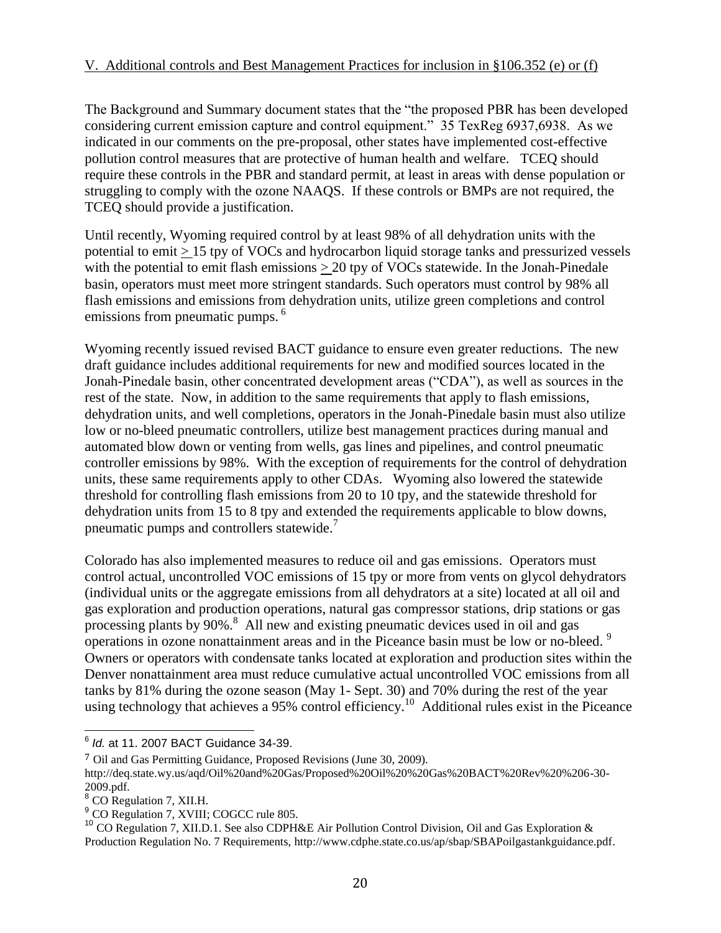The Background and Summary document states that the "the proposed PBR has been developed considering current emission capture and control equipment." 35 TexReg 6937,6938. As we indicated in our comments on the pre-proposal, other states have implemented cost-effective pollution control measures that are protective of human health and welfare. TCEQ should require these controls in the PBR and standard permit, at least in areas with dense population or struggling to comply with the ozone NAAQS. If these controls or BMPs are not required, the TCEQ should provide a justification.

Until recently, Wyoming required control by at least 98% of all dehydration units with the potential to emit > 15 tpy of VOCs and hydrocarbon liquid storage tanks and pressurized vessels with the potential to emit flash emissions  $\geq 20$  tpy of VOCs statewide. In the Jonah-Pinedale basin, operators must meet more stringent standards. Such operators must control by 98% all flash emissions and emissions from dehydration units, utilize green completions and control emissions from pneumatic pumps.<sup>6</sup>

Wyoming recently issued revised BACT guidance to ensure even greater reductions. The new draft guidance includes additional requirements for new and modified sources located in the Jonah-Pinedale basin, other concentrated development areas ("CDA"), as well as sources in the rest of the state. Now, in addition to the same requirements that apply to flash emissions, dehydration units, and well completions, operators in the Jonah-Pinedale basin must also utilize low or no-bleed pneumatic controllers, utilize best management practices during manual and automated blow down or venting from wells, gas lines and pipelines, and control pneumatic controller emissions by 98%. With the exception of requirements for the control of dehydration units, these same requirements apply to other CDAs. Wyoming also lowered the statewide threshold for controlling flash emissions from 20 to 10 tpy, and the statewide threshold for dehydration units from 15 to 8 tpy and extended the requirements applicable to blow downs, pneumatic pumps and controllers statewide.<sup>7</sup>

Colorado has also implemented measures to reduce oil and gas emissions. Operators must control actual, uncontrolled VOC emissions of 15 tpy or more from vents on glycol dehydrators (individual units or the aggregate emissions from all dehydrators at a site) located at all oil and gas exploration and production operations, natural gas compressor stations, drip stations or gas processing plants by 90%.<sup>8</sup> All new and existing pneumatic devices used in oil and gas operations in ozone nonattainment areas and in the Piceance basin must be low or no-bleed.<sup>9</sup> Owners or operators with condensate tanks located at exploration and production sites within the Denver nonattainment area must reduce cumulative actual uncontrolled VOC emissions from all tanks by 81% during the ozone season (May 1- Sept. 30) and 70% during the rest of the year using technology that achieves a 95% control efficiency.<sup>10</sup> Additional rules exist in the Piceance

 6 *Id.* at 11. 2007 BACT Guidance 34-39.

<sup>7</sup> Oil and Gas Permitting Guidance, Proposed Revisions (June 30, 2009).

http://deq.state.wy.us/aqd/Oil%20and%20Gas/Proposed%20Oil%20%20Gas%20BACT%20Rev%20%206-30- 2009.pdf.

<sup>&</sup>lt;sup>8</sup> CO Regulation 7, XII.H.

<sup>&</sup>lt;sup>9</sup> CO Regulation 7, XVIII; COGCC rule 805.

<sup>10</sup> CO Regulation 7, XII.D.1. See also CDPH&E Air Pollution Control Division, Oil and Gas Exploration & Production Regulation No. 7 Requirements, http://www.cdphe.state.co.us/ap/sbap/SBAPoilgastankguidance.pdf.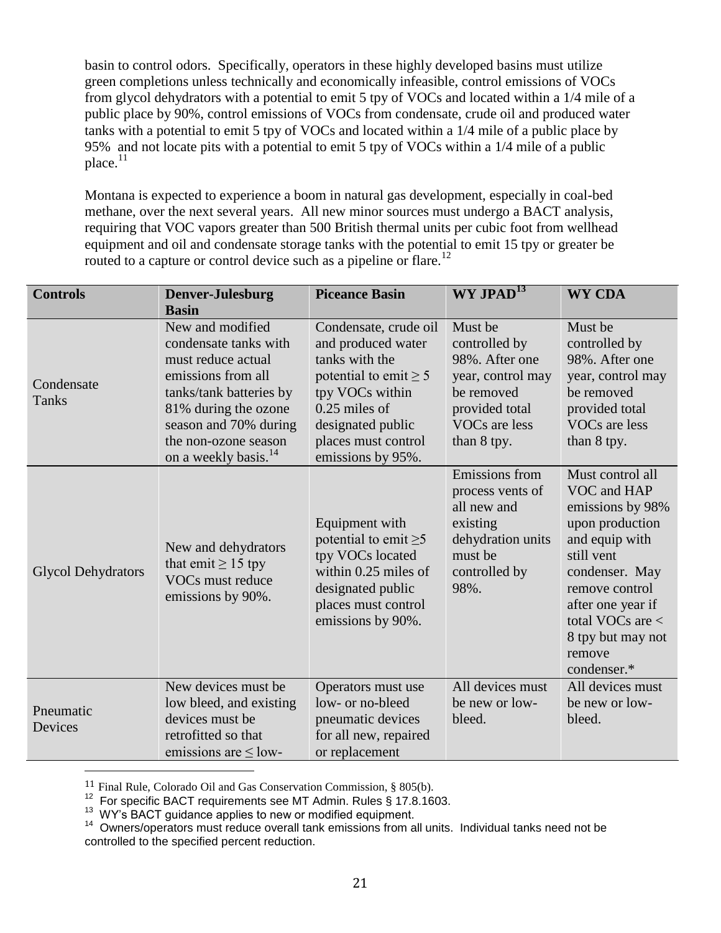basin to control odors. Specifically, operators in these highly developed basins must utilize green completions unless technically and economically infeasible, control emissions of VOCs from glycol dehydrators with a potential to emit 5 tpy of VOCs and located within a 1/4 mile of a public place by 90%, control emissions of VOCs from condensate, crude oil and produced water tanks with a potential to emit 5 tpy of VOCs and located within a 1/4 mile of a public place by 95% and not locate pits with a potential to emit 5 tpy of VOCs within a 1/4 mile of a public place. $11$ 

Montana is expected to experience a boom in natural gas development, especially in coal-bed methane, over the next several years. All new minor sources must undergo a BACT analysis, requiring that VOC vapors greater than 500 British thermal units per cubic foot from wellhead equipment and oil and condensate storage tanks with the potential to emit 15 tpy or greater be routed to a capture or control device such as a pipeline or flare.<sup>12</sup>

| <b>Controls</b>           | Denver-Julesburg                                                                                                                                                                                                              | <b>Piceance Basin</b>                                                                                                                                                                              | $WY$ JPAD <sup>13</sup>                                                                                                         | <b>WY CDA</b>                                                                                                                                                                                                                       |
|---------------------------|-------------------------------------------------------------------------------------------------------------------------------------------------------------------------------------------------------------------------------|----------------------------------------------------------------------------------------------------------------------------------------------------------------------------------------------------|---------------------------------------------------------------------------------------------------------------------------------|-------------------------------------------------------------------------------------------------------------------------------------------------------------------------------------------------------------------------------------|
|                           | <b>Basin</b>                                                                                                                                                                                                                  |                                                                                                                                                                                                    |                                                                                                                                 |                                                                                                                                                                                                                                     |
| Condensate<br>Tanks       | New and modified<br>condensate tanks with<br>must reduce actual<br>emissions from all<br>tanks/tank batteries by<br>81% during the ozone<br>season and 70% during<br>the non-ozone season<br>on a weekly basis. <sup>14</sup> | Condensate, crude oil<br>and produced water<br>tanks with the<br>potential to emit $\geq 5$<br>tpy VOCs within<br>$0.25$ miles of<br>designated public<br>places must control<br>emissions by 95%. | Must be<br>controlled by<br>98%. After one<br>year, control may<br>be removed<br>provided total<br>VOCs are less<br>than 8 tpy. | Must be<br>controlled by<br>98%. After one<br>year, control may<br>be removed<br>provided total<br>VOCs are less<br>than 8 tpy.                                                                                                     |
| <b>Glycol Dehydrators</b> | New and dehydrators<br>that emit $\geq$ 15 tpy<br>VOCs must reduce<br>emissions by 90%.                                                                                                                                       | Equipment with<br>potential to emit $\geq 5$<br>tpy VOCs located<br>within $0.25$ miles of<br>designated public<br>places must control<br>emissions by 90%.                                        | Emissions from<br>process vents of<br>all new and<br>existing<br>dehydration units<br>must be<br>controlled by<br>98%.          | Must control all<br>VOC and HAP<br>emissions by 98%<br>upon production<br>and equip with<br>still vent<br>condenser. May<br>remove control<br>after one year if<br>total VOCs are $<$<br>8 tpy but may not<br>remove<br>condenser.* |
| Pneumatic<br>Devices      | New devices must be<br>low bleed, and existing<br>devices must be<br>retrofitted so that<br>emissions are $\leq$ low-                                                                                                         | Operators must use<br>low- or no-bleed<br>pneumatic devices<br>for all new, repaired<br>or replacement                                                                                             | All devices must<br>be new or low-<br>bleed.                                                                                    | All devices must<br>be new or low-<br>bleed.                                                                                                                                                                                        |

11 Final Rule, Colorado Oil and Gas Conservation Commission, § 805(b).

 $12$  For specific BACT requirements see MT Admin. Rules § 17.8.1603.

<sup>13</sup> WY's BACT guidance applies to new or modified equipment.

 $\overline{a}$ 

<sup>&</sup>lt;sup>14</sup> Owners/operators must reduce overall tank emissions from all units. Individual tanks need not be controlled to the specified percent reduction.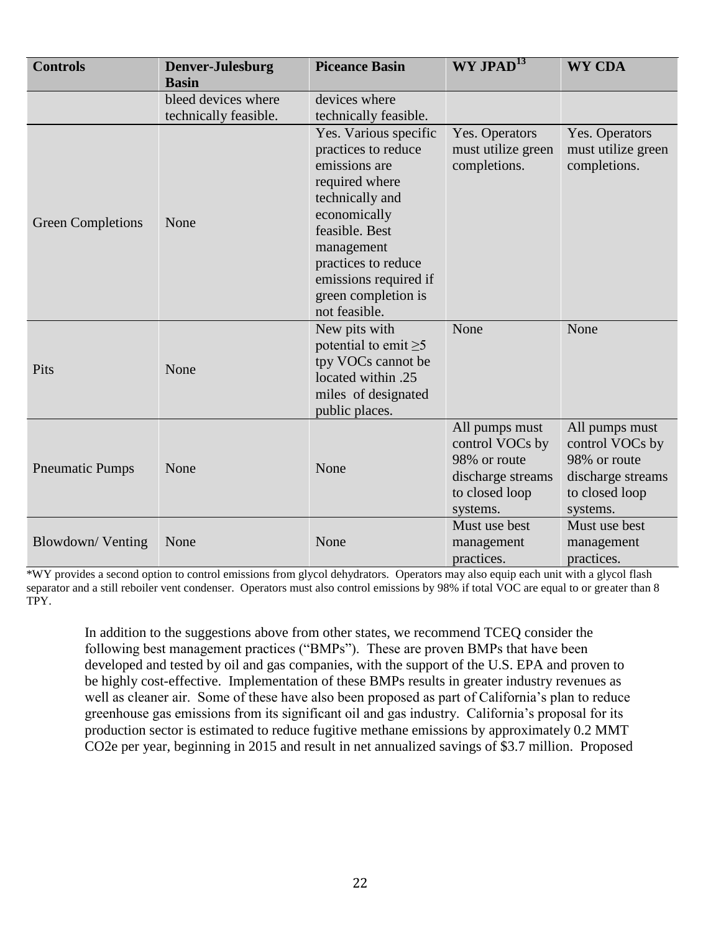| <b>Controls</b>          | <b>Denver-Julesburg</b><br><b>Basin</b> | <b>Piceance Basin</b>                                                                                                                                                                                                                      | WY JPAD <sup>13</sup>                                                                                | <b>WY CDA</b>                                                                                        |
|--------------------------|-----------------------------------------|--------------------------------------------------------------------------------------------------------------------------------------------------------------------------------------------------------------------------------------------|------------------------------------------------------------------------------------------------------|------------------------------------------------------------------------------------------------------|
|                          | bleed devices where                     | devices where                                                                                                                                                                                                                              |                                                                                                      |                                                                                                      |
|                          | technically feasible.                   | technically feasible.                                                                                                                                                                                                                      |                                                                                                      |                                                                                                      |
| <b>Green Completions</b> | None                                    | Yes. Various specific<br>practices to reduce<br>emissions are<br>required where<br>technically and<br>economically<br>feasible. Best<br>management<br>practices to reduce<br>emissions required if<br>green completion is<br>not feasible. | Yes. Operators<br>must utilize green<br>completions.                                                 | Yes. Operators<br>must utilize green<br>completions.                                                 |
| Pits                     | None                                    | New pits with<br>potential to emit $\geq 5$<br>tpy VOCs cannot be<br>located within .25<br>miles of designated<br>public places.                                                                                                           | None                                                                                                 | None                                                                                                 |
| <b>Pneumatic Pumps</b>   | None                                    | None                                                                                                                                                                                                                                       | All pumps must<br>control VOCs by<br>98% or route<br>discharge streams<br>to closed loop<br>systems. | All pumps must<br>control VOCs by<br>98% or route<br>discharge streams<br>to closed loop<br>systems. |
| Blowdown/Venting         | None                                    | None                                                                                                                                                                                                                                       | Must use best<br>management<br>practices.                                                            | Must use best<br>management<br>practices.                                                            |

\*WY provides a second option to control emissions from glycol dehydrators. Operators may also equip each unit with a glycol flash separator and a still reboiler vent condenser. Operators must also control emissions by 98% if total VOC are equal to or greater than 8 TPY.

In addition to the suggestions above from other states, we recommend TCEQ consider the following best management practices ("BMPs"). These are proven BMPs that have been developed and tested by oil and gas companies, with the support of the U.S. EPA and proven to be highly cost-effective. Implementation of these BMPs results in greater industry revenues as well as cleaner air. Some of these have also been proposed as part of California's plan to reduce greenhouse gas emissions from its significant oil and gas industry. California's proposal for its production sector is estimated to reduce fugitive methane emissions by approximately 0.2 MMT CO2e per year, beginning in 2015 and result in net annualized savings of \$3.7 million. Proposed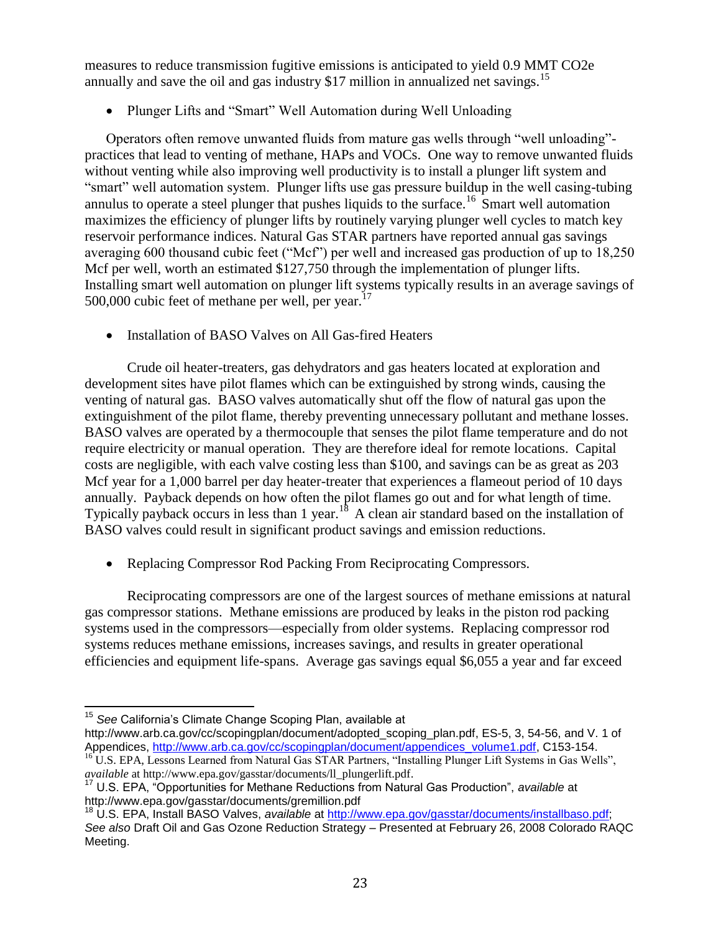measures to reduce transmission fugitive emissions is anticipated to yield 0.9 MMT CO2e annually and save the oil and gas industry \$17 million in annualized net savings.<sup>15</sup>

• Plunger Lifts and "Smart" Well Automation during Well Unloading

Operators often remove unwanted fluids from mature gas wells through "well unloading"practices that lead to venting of methane, HAPs and VOCs. One way to remove unwanted fluids without venting while also improving well productivity is to install a plunger lift system and "smart" well automation system. Plunger lifts use gas pressure buildup in the well casing-tubing annulus to operate a steel plunger that pushes liquids to the surface.<sup>16</sup> Smart well automation maximizes the efficiency of plunger lifts by routinely varying plunger well cycles to match key reservoir performance indices. Natural Gas STAR partners have reported annual gas savings averaging 600 thousand cubic feet ("Mcf") per well and increased gas production of up to 18,250 Mcf per well, worth an estimated \$127,750 through the implementation of plunger lifts. Installing smart well automation on plunger lift systems typically results in an average savings of 500,000 cubic feet of methane per well, per year. $17$ 

• Installation of BASO Valves on All Gas-fired Heaters

Crude oil heater-treaters, gas dehydrators and gas heaters located at exploration and development sites have pilot flames which can be extinguished by strong winds, causing the venting of natural gas. BASO valves automatically shut off the flow of natural gas upon the extinguishment of the pilot flame, thereby preventing unnecessary pollutant and methane losses. BASO valves are operated by a thermocouple that senses the pilot flame temperature and do not require electricity or manual operation. They are therefore ideal for remote locations. Capital costs are negligible, with each valve costing less than \$100, and savings can be as great as 203 Mcf year for a 1,000 barrel per day heater-treater that experiences a flameout period of 10 days annually. Payback depends on how often the pilot flames go out and for what length of time. Typically payback occurs in less than 1 year.<sup>18</sup> A clean air standard based on the installation of BASO valves could result in significant product savings and emission reductions.

Replacing Compressor Rod Packing From Reciprocating Compressors.

Reciprocating compressors are one of the largest sources of methane emissions at natural gas compressor stations. Methane emissions are produced by leaks in the piston rod packing systems used in the compressors—especially from older systems. Replacing compressor rod systems reduces methane emissions, increases savings, and results in greater operational efficiencies and equipment life-spans. Average gas savings equal \$6,055 a year and far exceed

 $\overline{\phantom{a}}$ <sup>15</sup> *See* California's Climate Change Scoping Plan, available at

[http://www.arb.ca.gov/cc/scopingplan/document/adopted\\_scoping\\_plan.pdf,](http://www.arb.ca.gov/cc/scopingplan/document/adopted_scoping_plan.pdf) ES-5, 3, 54-56, and V. 1 of Appendices, [http://www.arb.ca.gov/cc/scopingplan/document/appendices\\_volume1.pdf,](http://www.arb.ca.gov/cc/scopingplan/document/appendices_volume1.pdf) C153-154.

<sup>&</sup>lt;sup>16</sup> U.S. EPA, Lessons Learned from Natural Gas STAR Partners, "Installing Plunger Lift Systems in Gas Wells", *available* a[t http://www.epa.gov/gasstar/documents/ll\\_plungerlift.pdf.](http://www.epa.gov/gasstar/documents/ll_plungerlift.pdf)

<sup>17</sup> U.S. EPA, "Opportunities for Methane Reductions from Natural Gas Production", *available* at http://www.epa.gov/gasstar/documents/gremillion.pdf

<sup>18</sup> U.S. EPA, Install BASO Valves, *available* at [http://www.epa.gov/gasstar/documents/installbaso.pdf;](http://www.epa.gov/gasstar/documents/installbaso.pdf) *See also* Draft Oil and Gas Ozone Reduction Strategy – Presented at February 26, 2008 Colorado RAQC Meeting.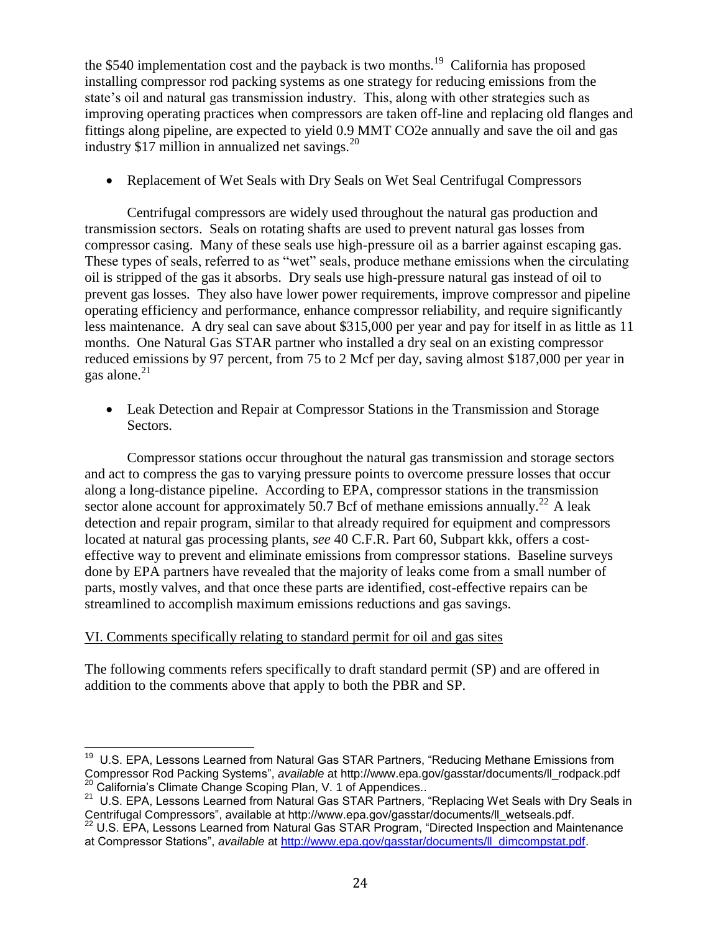the \$540 implementation cost and the payback is two months.<sup>19</sup> California has proposed installing compressor rod packing systems as one strategy for reducing emissions from the state's oil and natural gas transmission industry. This, along with other strategies such as improving operating practices when compressors are taken off-line and replacing old flanges and fittings along pipeline, are expected to yield 0.9 MMT CO2e annually and save the oil and gas industry \$17 million in annualized net savings. $^{20}$ 

• Replacement of Wet Seals with Dry Seals on Wet Seal Centrifugal Compressors

Centrifugal compressors are widely used throughout the natural gas production and transmission sectors. Seals on rotating shafts are used to prevent natural gas losses from compressor casing. Many of these seals use high-pressure oil as a barrier against escaping gas. These types of seals, referred to as "wet" seals, produce methane emissions when the circulating oil is stripped of the gas it absorbs. Dry seals use high-pressure natural gas instead of oil to prevent gas losses. They also have lower power requirements, improve compressor and pipeline operating efficiency and performance, enhance compressor reliability, and require significantly less maintenance. A dry seal can save about \$315,000 per year and pay for itself in as little as 11 months. One Natural Gas STAR partner who installed a dry seal on an existing compressor reduced emissions by 97 percent, from 75 to 2 Mcf per day, saving almost \$187,000 per year in gas alone. $^{21}$ 

 Leak Detection and Repair at Compressor Stations in the Transmission and Storage Sectors.

Compressor stations occur throughout the natural gas transmission and storage sectors and act to compress the gas to varying pressure points to overcome pressure losses that occur along a long-distance pipeline. According to EPA, compressor stations in the transmission sector alone account for approximately 50.7 Bcf of methane emissions annually.<sup>22</sup> A leak detection and repair program, similar to that already required for equipment and compressors located at natural gas processing plants, *see* 40 C.F.R. Part 60, Subpart kkk, offers a costeffective way to prevent and eliminate emissions from compressor stations. Baseline surveys done by EPA partners have revealed that the majority of leaks come from a small number of parts, mostly valves, and that once these parts are identified, cost-effective repairs can be streamlined to accomplish maximum emissions reductions and gas savings.

## VI. Comments specifically relating to standard permit for oil and gas sites

The following comments refers specifically to draft standard permit (SP) and are offered in addition to the comments above that apply to both the PBR and SP.

 19 U.S. EPA, Lessons Learned from Natural Gas STAR Partners, "Reducing Methane Emissions from Compressor Rod Packing Systems", *available* at http://www.epa.gov/gasstar/documents/ll\_rodpack.pdf California's Climate Change Scoping Plan, V. 1 of Appendices..

<sup>&</sup>lt;sup>21</sup> U.S. EPA, Lessons Learned from Natural Gas STAR Partners, "Replacing Wet Seals with Dry Seals in Centrifugal Compressors", available at http://www.epa.gov/gasstar/documents/ll\_wetseals.pdf.

 $^{22}$  U.S. EPA, Lessons Learned from Natural Gas STAR Program, "Directed Inspection and Maintenance at Compressor Stations", *available* at [http://www.epa.gov/gasstar/documents/ll\\_dimcompstat.pdf.](http://www.epa.gov/gasstar/documents/ll_dimcompstat.pdf)